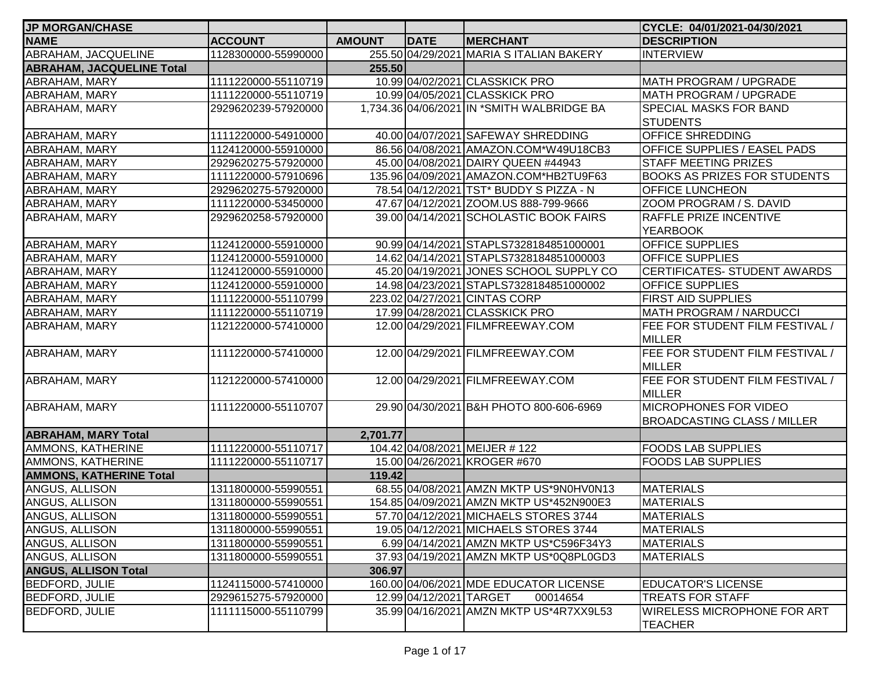| <b>JP MORGAN/CHASE</b>           |                     |               |                         |                                            | CYCLE: 04/01/2021-04/30/2021           |
|----------------------------------|---------------------|---------------|-------------------------|--------------------------------------------|----------------------------------------|
| <b>NAME</b>                      | <b>ACCOUNT</b>      | <b>AMOUNT</b> | <b>DATE</b>             | <b>MERCHANT</b>                            | <b>DESCRIPTION</b>                     |
| ABRAHAM, JACQUELINE              | 1128300000-55990000 |               |                         | 255.50 04/29/2021 MARIA S ITALIAN BAKERY   | <b>INTERVIEW</b>                       |
| <b>ABRAHAM, JACQUELINE Total</b> |                     | 255.50        |                         |                                            |                                        |
| ABRAHAM, MARY                    | 1111220000-55110719 |               |                         | 10.99 04/02/2021 CLASSKICK PRO             | MATH PROGRAM / UPGRADE                 |
| ABRAHAM, MARY                    | 1111220000-55110719 |               |                         | 10.99 04/05/2021 CLASSKICK PRO             | MATH PROGRAM / UPGRADE                 |
| <b>ABRAHAM, MARY</b>             | 2929620239-57920000 |               |                         | 1,734.36 04/06/2021 IN *SMITH WALBRIDGE BA | <b>SPECIAL MASKS FOR BAND</b>          |
|                                  |                     |               |                         |                                            | <b>STUDENTS</b>                        |
| ABRAHAM, MARY                    | 1111220000-54910000 |               |                         | 40.00 04/07/2021 SAFEWAY SHREDDING         | <b>OFFICE SHREDDING</b>                |
| ABRAHAM, MARY                    | 1124120000-55910000 |               |                         | 86.56 04/08/2021 AMAZON.COM*W49U18CB3      | <b>OFFICE SUPPLIES / EASEL PADS</b>    |
| <b>ABRAHAM, MARY</b>             | 2929620275-57920000 |               |                         | 45.00 04/08/2021 DAIRY QUEEN #44943        | <b>STAFF MEETING PRIZES</b>            |
| ABRAHAM, MARY                    | 1111220000-57910696 |               |                         | 135.96 04/09/2021 AMAZON.COM*HB2TU9F63     | <b>BOOKS AS PRIZES FOR STUDENTS</b>    |
| ABRAHAM, MARY                    | 2929620275-57920000 |               |                         | 78.54 04/12/2021 TST* BUDDY S PIZZA - N    | <b>OFFICE LUNCHEON</b>                 |
| <b>ABRAHAM, MARY</b>             | 1111220000-53450000 |               |                         | 47.67 04/12/2021 ZOOM.US 888-799-9666      | ZOOM PROGRAM / S. DAVID                |
| ABRAHAM, MARY                    | 2929620258-57920000 |               |                         | 39.00 04/14/2021 SCHOLASTIC BOOK FAIRS     | <b>RAFFLE PRIZE INCENTIVE</b>          |
|                                  |                     |               |                         |                                            | <b>YEARBOOK</b>                        |
| ABRAHAM, MARY                    | 1124120000-55910000 |               |                         | 90.99 04/14/2021 STAPLS7328184851000001    | <b>OFFICE SUPPLIES</b>                 |
| <b>ABRAHAM, MARY</b>             | 1124120000-55910000 |               |                         | 14.62 04/14/2021 STAPLS7328184851000003    | <b>OFFICE SUPPLIES</b>                 |
| ABRAHAM, MARY                    | 1124120000-55910000 |               |                         | 45.20 04/19/2021 JONES SCHOOL SUPPLY CO    | <b>ICERTIFICATES- STUDENT AWARDS</b>   |
| ABRAHAM, MARY                    | 1124120000-55910000 |               |                         | 14.98 04/23/2021 STAPLS7328184851000002    | <b>OFFICE SUPPLIES</b>                 |
| ABRAHAM, MARY                    | 1111220000-55110799 |               |                         | 223.02 04/27/2021 CINTAS CORP              | <b>FIRST AID SUPPLIES</b>              |
| <b>ABRAHAM, MARY</b>             | 1111220000-55110719 |               |                         | 17.99 04/28/2021 CLASSKICK PRO             | MATH PROGRAM / NARDUCCI                |
| <b>ABRAHAM, MARY</b>             | 1121220000-57410000 |               |                         | 12.00 04/29/2021 FILMFREEWAY.COM           | FEE FOR STUDENT FILM FESTIVAL /        |
|                                  |                     |               |                         |                                            | <b>IMILLER</b>                         |
| ABRAHAM, MARY                    | 1111220000-57410000 |               |                         | 12.00 04/29/2021 FILMFREEWAY.COM           | <b>FEE FOR STUDENT FILM FESTIVAL /</b> |
|                                  |                     |               |                         |                                            | MILLER                                 |
| ABRAHAM, MARY                    | 1121220000-57410000 |               |                         | 12.00 04/29/2021 FILMFREEWAY.COM           | FEE FOR STUDENT FILM FESTIVAL /        |
|                                  |                     |               |                         |                                            | MILLER                                 |
| ABRAHAM, MARY                    | 1111220000-55110707 |               |                         | 29.90 04/30/2021 B&H PHOTO 800-606-6969    | <b>MICROPHONES FOR VIDEO</b>           |
|                                  |                     |               |                         |                                            | <b>BROADCASTING CLASS / MILLER</b>     |
| <b>ABRAHAM, MARY Total</b>       |                     | 2,701.77      |                         |                                            |                                        |
| AMMONS, KATHERINE                | 1111220000-55110717 |               |                         | 104.42 04/08/2021 MEIJER # 122             | <b>FOODS LAB SUPPLIES</b>              |
| AMMONS, KATHERINE                | 1111220000-55110717 |               |                         | 15.00 04/26/2021 KROGER #670               | <b>FOODS LAB SUPPLIES</b>              |
| <b>AMMONS, KATHERINE Total</b>   |                     | 119.42        |                         |                                            |                                        |
| ANGUS, ALLISON                   | 1311800000-55990551 |               |                         | 68.55 04/08/2021 AMZN MKTP US*9N0HV0N13    | <b>MATERIALS</b>                       |
| ANGUS, ALLISON                   | 1311800000-55990551 |               |                         | 154.85 04/09/2021 AMZN MKTP US*452N900E3   | <b>MATERIALS</b>                       |
| ANGUS, ALLISON                   | 1311800000-55990551 |               |                         | 57.70 04/12/2021 MICHAELS STORES 3744      | <b>MATERIALS</b>                       |
| ANGUS, ALLISON                   | 1311800000-55990551 |               |                         | 19.05 04/12/2021 MICHAELS STORES 3744      | <b>MATERIALS</b>                       |
| ANGUS, ALLISON                   | 1311800000-55990551 |               |                         | 6.99 04/14/2021 AMZN MKTP US*C596F34Y3     | <b>MATERIALS</b>                       |
| ANGUS, ALLISON                   | 1311800000-55990551 |               |                         | 37.93 04/19/2021 AMZN MKTP US*0Q8PL0GD3    | MATERIALS                              |
| <b>ANGUS, ALLISON Total</b>      |                     | 306.97        |                         |                                            |                                        |
| <b>BEDFORD, JULIE</b>            | 1124115000-57410000 |               |                         | 160.00 04/06/2021 MDE EDUCATOR LICENSE     | <b>EDUCATOR'S LICENSE</b>              |
| BEDFORD, JULIE                   | 2929615275-57920000 |               | 12.99 04/12/2021 TARGET | 00014654                                   | <b>TREATS FOR STAFF</b>                |
| <b>BEDFORD, JULIE</b>            | 1111115000-55110799 |               |                         | 35.99 04/16/2021 AMZN MKTP US*4R7XX9L53    | <b>WIRELESS MICROPHONE FOR ART</b>     |
|                                  |                     |               |                         |                                            | <b>TEACHER</b>                         |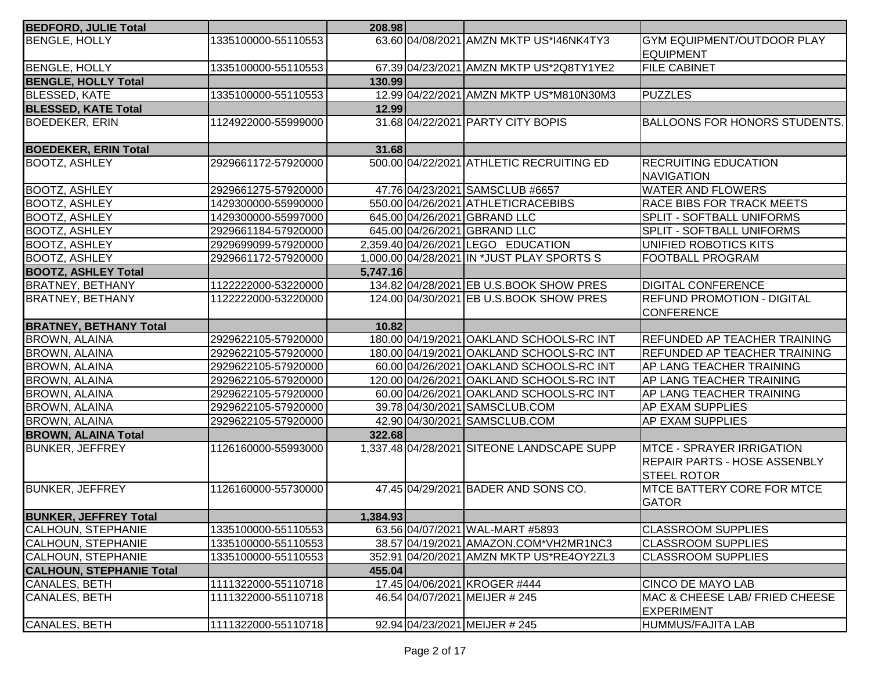| <b>BENGLE, HOLLY</b><br>1335100000-55110553<br>63.60 04/08/2021 AMZN MKTP US*146NK4TY3<br><b>GYM EQUIPMENT/OUTDOOR PLAY</b><br><b>IEQUIPMENT</b><br><b>BENGLE, HOLLY</b><br>1335100000-55110553<br>67.39 04/23/2021 AMZN MKTP US*2Q8TY1YE2<br><b>FILE CABINET</b><br><b>BENGLE, HOLLY Total</b><br>130.99<br><b>BLESSED, KATE</b><br>1335100000-55110553<br>12.99 04/22/2021 AMZN MKTP US*M810N30M3<br><b>PUZZLES</b><br>12.99<br>31.68 04/22/2021 PARTY CITY BOPIS<br><b>BOEDEKER, ERIN</b><br>1124922000-55999000<br><b>BOEDEKER, ERIN Total</b><br>31.68<br>500.00 04/22/2021 ATHLETIC RECRUITING ED<br><b>RECRUITING EDUCATION</b><br><b>BOOTZ, ASHLEY</b><br>2929661172-57920000<br><b>NAVIGATION</b><br><b>BOOTZ, ASHLEY</b><br>47.76 04/23/2021 SAMSCLUB #6657<br><b>WATER AND FLOWERS</b><br>2929661275-57920000<br><b>BOOTZ, ASHLEY</b><br>1429300000-55990000<br>550.00 04/26/2021 ATHLETICRACEBIBS<br><b>RACE BIBS FOR TRACK MEETS</b><br>645.00 04/26/2021 GBRAND LLC<br>SPLIT - SOFTBALL UNIFORMS<br><b>BOOTZ, ASHLEY</b><br>1429300000-55997000<br>645.00 04/26/2021 GBRAND LLC<br><b>BOOTZ, ASHLEY</b><br>2929661184-57920000<br>SPLIT - SOFTBALL UNIFORMS<br>2,359.40 04/26/2021 LEGO EDUCATION<br><b>BOOTZ, ASHLEY</b><br>UNIFIED ROBOTICS KITS<br>2929699099-57920000<br>1,000.00 04/28/2021 IN *JUST PLAY SPORTS S<br><b>BOOTZ, ASHLEY</b><br><b>FOOTBALL PROGRAM</b><br>2929661172-57920000<br><b>BOOTZ, ASHLEY Total</b><br>5,747.16<br>1122222000-53220000<br>134.82 04/28/2021 EB U.S.BOOK SHOW PRES<br><b>DIGITAL CONFERENCE</b><br><b>BRATNEY, BETHANY</b><br>124.00 04/30/2021 EB U.S.BOOK SHOW PRES<br><b>REFUND PROMOTION - DIGITAL</b><br><b>BRATNEY, BETHANY</b><br>1122222000-53220000<br><b>CONFERENCE</b><br><b>BRATNEY, BETHANY Total</b><br>10.82<br><b>BROWN, ALAINA</b><br>2929622105-57920000<br>180.00 04/19/2021 OAKLAND SCHOOLS-RC INT<br>REFUNDED AP TEACHER TRAINING<br>180.00 04/19/2021 OAKLAND SCHOOLS-RC INT<br><b>REFUNDED AP TEACHER TRAINING</b><br><b>BROWN, ALAINA</b><br>2929622105-57920000<br><b>BROWN, ALAINA</b><br>2929622105-57920000<br>60.00 04/26/2021 OAKLAND SCHOOLS-RC INT<br><b>AP LANG TEACHER TRAINING</b><br><b>BROWN, ALAINA</b><br>2929622105-57920000<br>120.00 04/26/2021 OAKLAND SCHOOLS-RC INT<br><b>AP LANG TEACHER TRAINING</b><br>2929622105-57920000<br>60.00 04/26/2021 OAKLAND SCHOOLS-RC INT<br><b>AP LANG TEACHER TRAINING</b><br><b>BROWN, ALAINA</b><br>2929622105-57920000<br>39.78 04/30/2021 SAMSCLUB.COM<br><b>AP EXAM SUPPLIES</b><br><b>BROWN, ALAINA</b><br>42.90 04/30/2021 SAMSCLUB.COM<br><b>AP EXAM SUPPLIES</b><br>2929622105-57920000<br><b>BROWN, ALAINA Total</b><br>322.68<br><b>BUNKER, JEFFREY</b><br>1126160000-55993000<br>1,337.48 04/28/2021 SITEONE LANDSCAPE SUPP<br><b>IMTCE - SPRAYER IRRIGATION</b><br>REPAIR PARTS - HOSE ASSENBLY<br><b>STEEL ROTOR</b><br>47.45 04/29/2021 BADER AND SONS CO.<br><b>BUNKER, JEFFREY</b><br>1126160000-55730000<br><b>IMTCE BATTERY CORE FOR MTCE</b><br><b>GATOR</b><br>1,384.93<br>63.56 04/07/2021 WAL-MART #5893<br>1335100000-55110553<br><b>CLASSROOM SUPPLIES</b><br>1335100000-55110553<br>38.57 04/19/2021 AMAZON.COM*VH2MR1NC3<br><b>CLASSROOM SUPPLIES</b><br>1335100000-55110553<br>352.91 04/20/2021 AMZN MKTP US*RE4OY2ZL3<br><b>CLASSROOM SUPPLIES</b><br>455.04<br><b>CANALES, BETH</b><br>1111322000-55110718<br>17.45 04/06/2021 KROGER #444<br><b>CINCO DE MAYO LAB</b><br>CANALES, BETH<br>46.54 04/07/2021 MEIJER # 245<br>MAC & CHEESE LAB/ FRIED CHEESE<br>1111322000-55110718<br><b>EXPERIMENT</b><br>CANALES, BETH<br>1111322000-55110718<br>92.94 04/23/2021 MEIJER # 245<br>HUMMUS/FAJITA LAB | <b>BEDFORD, JULIE Total</b>     | 208.98 |  |                                      |
|----------------------------------------------------------------------------------------------------------------------------------------------------------------------------------------------------------------------------------------------------------------------------------------------------------------------------------------------------------------------------------------------------------------------------------------------------------------------------------------------------------------------------------------------------------------------------------------------------------------------------------------------------------------------------------------------------------------------------------------------------------------------------------------------------------------------------------------------------------------------------------------------------------------------------------------------------------------------------------------------------------------------------------------------------------------------------------------------------------------------------------------------------------------------------------------------------------------------------------------------------------------------------------------------------------------------------------------------------------------------------------------------------------------------------------------------------------------------------------------------------------------------------------------------------------------------------------------------------------------------------------------------------------------------------------------------------------------------------------------------------------------------------------------------------------------------------------------------------------------------------------------------------------------------------------------------------------------------------------------------------------------------------------------------------------------------------------------------------------------------------------------------------------------------------------------------------------------------------------------------------------------------------------------------------------------------------------------------------------------------------------------------------------------------------------------------------------------------------------------------------------------------------------------------------------------------------------------------------------------------------------------------------------------------------------------------------------------------------------------------------------------------------------------------------------------------------------------------------------------------------------------------------------------------------------------------------------------------------------------------------------------------------------------------------------------------------------------------------------------------------------------------------------------------------------------------------------------------------------------------------------------------------------------------------------------------------------------------------------------------------------------------------------------------------------------------------------------------------------------------------------------------------------------------------------------------------------------------------------------------------------------------------------------------------|---------------------------------|--------|--|--------------------------------------|
|                                                                                                                                                                                                                                                                                                                                                                                                                                                                                                                                                                                                                                                                                                                                                                                                                                                                                                                                                                                                                                                                                                                                                                                                                                                                                                                                                                                                                                                                                                                                                                                                                                                                                                                                                                                                                                                                                                                                                                                                                                                                                                                                                                                                                                                                                                                                                                                                                                                                                                                                                                                                                                                                                                                                                                                                                                                                                                                                                                                                                                                                                                                                                                                                                                                                                                                                                                                                                                                                                                                                                                                                                                                                            |                                 |        |  |                                      |
|                                                                                                                                                                                                                                                                                                                                                                                                                                                                                                                                                                                                                                                                                                                                                                                                                                                                                                                                                                                                                                                                                                                                                                                                                                                                                                                                                                                                                                                                                                                                                                                                                                                                                                                                                                                                                                                                                                                                                                                                                                                                                                                                                                                                                                                                                                                                                                                                                                                                                                                                                                                                                                                                                                                                                                                                                                                                                                                                                                                                                                                                                                                                                                                                                                                                                                                                                                                                                                                                                                                                                                                                                                                                            |                                 |        |  |                                      |
|                                                                                                                                                                                                                                                                                                                                                                                                                                                                                                                                                                                                                                                                                                                                                                                                                                                                                                                                                                                                                                                                                                                                                                                                                                                                                                                                                                                                                                                                                                                                                                                                                                                                                                                                                                                                                                                                                                                                                                                                                                                                                                                                                                                                                                                                                                                                                                                                                                                                                                                                                                                                                                                                                                                                                                                                                                                                                                                                                                                                                                                                                                                                                                                                                                                                                                                                                                                                                                                                                                                                                                                                                                                                            |                                 |        |  |                                      |
|                                                                                                                                                                                                                                                                                                                                                                                                                                                                                                                                                                                                                                                                                                                                                                                                                                                                                                                                                                                                                                                                                                                                                                                                                                                                                                                                                                                                                                                                                                                                                                                                                                                                                                                                                                                                                                                                                                                                                                                                                                                                                                                                                                                                                                                                                                                                                                                                                                                                                                                                                                                                                                                                                                                                                                                                                                                                                                                                                                                                                                                                                                                                                                                                                                                                                                                                                                                                                                                                                                                                                                                                                                                                            |                                 |        |  |                                      |
|                                                                                                                                                                                                                                                                                                                                                                                                                                                                                                                                                                                                                                                                                                                                                                                                                                                                                                                                                                                                                                                                                                                                                                                                                                                                                                                                                                                                                                                                                                                                                                                                                                                                                                                                                                                                                                                                                                                                                                                                                                                                                                                                                                                                                                                                                                                                                                                                                                                                                                                                                                                                                                                                                                                                                                                                                                                                                                                                                                                                                                                                                                                                                                                                                                                                                                                                                                                                                                                                                                                                                                                                                                                                            | <b>BLESSED, KATE Total</b>      |        |  |                                      |
|                                                                                                                                                                                                                                                                                                                                                                                                                                                                                                                                                                                                                                                                                                                                                                                                                                                                                                                                                                                                                                                                                                                                                                                                                                                                                                                                                                                                                                                                                                                                                                                                                                                                                                                                                                                                                                                                                                                                                                                                                                                                                                                                                                                                                                                                                                                                                                                                                                                                                                                                                                                                                                                                                                                                                                                                                                                                                                                                                                                                                                                                                                                                                                                                                                                                                                                                                                                                                                                                                                                                                                                                                                                                            |                                 |        |  | <b>BALLOONS FOR HONORS STUDENTS.</b> |
|                                                                                                                                                                                                                                                                                                                                                                                                                                                                                                                                                                                                                                                                                                                                                                                                                                                                                                                                                                                                                                                                                                                                                                                                                                                                                                                                                                                                                                                                                                                                                                                                                                                                                                                                                                                                                                                                                                                                                                                                                                                                                                                                                                                                                                                                                                                                                                                                                                                                                                                                                                                                                                                                                                                                                                                                                                                                                                                                                                                                                                                                                                                                                                                                                                                                                                                                                                                                                                                                                                                                                                                                                                                                            |                                 |        |  |                                      |
|                                                                                                                                                                                                                                                                                                                                                                                                                                                                                                                                                                                                                                                                                                                                                                                                                                                                                                                                                                                                                                                                                                                                                                                                                                                                                                                                                                                                                                                                                                                                                                                                                                                                                                                                                                                                                                                                                                                                                                                                                                                                                                                                                                                                                                                                                                                                                                                                                                                                                                                                                                                                                                                                                                                                                                                                                                                                                                                                                                                                                                                                                                                                                                                                                                                                                                                                                                                                                                                                                                                                                                                                                                                                            |                                 |        |  |                                      |
|                                                                                                                                                                                                                                                                                                                                                                                                                                                                                                                                                                                                                                                                                                                                                                                                                                                                                                                                                                                                                                                                                                                                                                                                                                                                                                                                                                                                                                                                                                                                                                                                                                                                                                                                                                                                                                                                                                                                                                                                                                                                                                                                                                                                                                                                                                                                                                                                                                                                                                                                                                                                                                                                                                                                                                                                                                                                                                                                                                                                                                                                                                                                                                                                                                                                                                                                                                                                                                                                                                                                                                                                                                                                            |                                 |        |  |                                      |
|                                                                                                                                                                                                                                                                                                                                                                                                                                                                                                                                                                                                                                                                                                                                                                                                                                                                                                                                                                                                                                                                                                                                                                                                                                                                                                                                                                                                                                                                                                                                                                                                                                                                                                                                                                                                                                                                                                                                                                                                                                                                                                                                                                                                                                                                                                                                                                                                                                                                                                                                                                                                                                                                                                                                                                                                                                                                                                                                                                                                                                                                                                                                                                                                                                                                                                                                                                                                                                                                                                                                                                                                                                                                            |                                 |        |  |                                      |
|                                                                                                                                                                                                                                                                                                                                                                                                                                                                                                                                                                                                                                                                                                                                                                                                                                                                                                                                                                                                                                                                                                                                                                                                                                                                                                                                                                                                                                                                                                                                                                                                                                                                                                                                                                                                                                                                                                                                                                                                                                                                                                                                                                                                                                                                                                                                                                                                                                                                                                                                                                                                                                                                                                                                                                                                                                                                                                                                                                                                                                                                                                                                                                                                                                                                                                                                                                                                                                                                                                                                                                                                                                                                            |                                 |        |  |                                      |
|                                                                                                                                                                                                                                                                                                                                                                                                                                                                                                                                                                                                                                                                                                                                                                                                                                                                                                                                                                                                                                                                                                                                                                                                                                                                                                                                                                                                                                                                                                                                                                                                                                                                                                                                                                                                                                                                                                                                                                                                                                                                                                                                                                                                                                                                                                                                                                                                                                                                                                                                                                                                                                                                                                                                                                                                                                                                                                                                                                                                                                                                                                                                                                                                                                                                                                                                                                                                                                                                                                                                                                                                                                                                            |                                 |        |  |                                      |
|                                                                                                                                                                                                                                                                                                                                                                                                                                                                                                                                                                                                                                                                                                                                                                                                                                                                                                                                                                                                                                                                                                                                                                                                                                                                                                                                                                                                                                                                                                                                                                                                                                                                                                                                                                                                                                                                                                                                                                                                                                                                                                                                                                                                                                                                                                                                                                                                                                                                                                                                                                                                                                                                                                                                                                                                                                                                                                                                                                                                                                                                                                                                                                                                                                                                                                                                                                                                                                                                                                                                                                                                                                                                            |                                 |        |  |                                      |
|                                                                                                                                                                                                                                                                                                                                                                                                                                                                                                                                                                                                                                                                                                                                                                                                                                                                                                                                                                                                                                                                                                                                                                                                                                                                                                                                                                                                                                                                                                                                                                                                                                                                                                                                                                                                                                                                                                                                                                                                                                                                                                                                                                                                                                                                                                                                                                                                                                                                                                                                                                                                                                                                                                                                                                                                                                                                                                                                                                                                                                                                                                                                                                                                                                                                                                                                                                                                                                                                                                                                                                                                                                                                            |                                 |        |  |                                      |
|                                                                                                                                                                                                                                                                                                                                                                                                                                                                                                                                                                                                                                                                                                                                                                                                                                                                                                                                                                                                                                                                                                                                                                                                                                                                                                                                                                                                                                                                                                                                                                                                                                                                                                                                                                                                                                                                                                                                                                                                                                                                                                                                                                                                                                                                                                                                                                                                                                                                                                                                                                                                                                                                                                                                                                                                                                                                                                                                                                                                                                                                                                                                                                                                                                                                                                                                                                                                                                                                                                                                                                                                                                                                            |                                 |        |  |                                      |
|                                                                                                                                                                                                                                                                                                                                                                                                                                                                                                                                                                                                                                                                                                                                                                                                                                                                                                                                                                                                                                                                                                                                                                                                                                                                                                                                                                                                                                                                                                                                                                                                                                                                                                                                                                                                                                                                                                                                                                                                                                                                                                                                                                                                                                                                                                                                                                                                                                                                                                                                                                                                                                                                                                                                                                                                                                                                                                                                                                                                                                                                                                                                                                                                                                                                                                                                                                                                                                                                                                                                                                                                                                                                            |                                 |        |  |                                      |
|                                                                                                                                                                                                                                                                                                                                                                                                                                                                                                                                                                                                                                                                                                                                                                                                                                                                                                                                                                                                                                                                                                                                                                                                                                                                                                                                                                                                                                                                                                                                                                                                                                                                                                                                                                                                                                                                                                                                                                                                                                                                                                                                                                                                                                                                                                                                                                                                                                                                                                                                                                                                                                                                                                                                                                                                                                                                                                                                                                                                                                                                                                                                                                                                                                                                                                                                                                                                                                                                                                                                                                                                                                                                            |                                 |        |  |                                      |
|                                                                                                                                                                                                                                                                                                                                                                                                                                                                                                                                                                                                                                                                                                                                                                                                                                                                                                                                                                                                                                                                                                                                                                                                                                                                                                                                                                                                                                                                                                                                                                                                                                                                                                                                                                                                                                                                                                                                                                                                                                                                                                                                                                                                                                                                                                                                                                                                                                                                                                                                                                                                                                                                                                                                                                                                                                                                                                                                                                                                                                                                                                                                                                                                                                                                                                                                                                                                                                                                                                                                                                                                                                                                            |                                 |        |  |                                      |
|                                                                                                                                                                                                                                                                                                                                                                                                                                                                                                                                                                                                                                                                                                                                                                                                                                                                                                                                                                                                                                                                                                                                                                                                                                                                                                                                                                                                                                                                                                                                                                                                                                                                                                                                                                                                                                                                                                                                                                                                                                                                                                                                                                                                                                                                                                                                                                                                                                                                                                                                                                                                                                                                                                                                                                                                                                                                                                                                                                                                                                                                                                                                                                                                                                                                                                                                                                                                                                                                                                                                                                                                                                                                            |                                 |        |  |                                      |
|                                                                                                                                                                                                                                                                                                                                                                                                                                                                                                                                                                                                                                                                                                                                                                                                                                                                                                                                                                                                                                                                                                                                                                                                                                                                                                                                                                                                                                                                                                                                                                                                                                                                                                                                                                                                                                                                                                                                                                                                                                                                                                                                                                                                                                                                                                                                                                                                                                                                                                                                                                                                                                                                                                                                                                                                                                                                                                                                                                                                                                                                                                                                                                                                                                                                                                                                                                                                                                                                                                                                                                                                                                                                            |                                 |        |  |                                      |
|                                                                                                                                                                                                                                                                                                                                                                                                                                                                                                                                                                                                                                                                                                                                                                                                                                                                                                                                                                                                                                                                                                                                                                                                                                                                                                                                                                                                                                                                                                                                                                                                                                                                                                                                                                                                                                                                                                                                                                                                                                                                                                                                                                                                                                                                                                                                                                                                                                                                                                                                                                                                                                                                                                                                                                                                                                                                                                                                                                                                                                                                                                                                                                                                                                                                                                                                                                                                                                                                                                                                                                                                                                                                            |                                 |        |  |                                      |
|                                                                                                                                                                                                                                                                                                                                                                                                                                                                                                                                                                                                                                                                                                                                                                                                                                                                                                                                                                                                                                                                                                                                                                                                                                                                                                                                                                                                                                                                                                                                                                                                                                                                                                                                                                                                                                                                                                                                                                                                                                                                                                                                                                                                                                                                                                                                                                                                                                                                                                                                                                                                                                                                                                                                                                                                                                                                                                                                                                                                                                                                                                                                                                                                                                                                                                                                                                                                                                                                                                                                                                                                                                                                            |                                 |        |  |                                      |
|                                                                                                                                                                                                                                                                                                                                                                                                                                                                                                                                                                                                                                                                                                                                                                                                                                                                                                                                                                                                                                                                                                                                                                                                                                                                                                                                                                                                                                                                                                                                                                                                                                                                                                                                                                                                                                                                                                                                                                                                                                                                                                                                                                                                                                                                                                                                                                                                                                                                                                                                                                                                                                                                                                                                                                                                                                                                                                                                                                                                                                                                                                                                                                                                                                                                                                                                                                                                                                                                                                                                                                                                                                                                            | <b>BROWN, ALAINA</b>            |        |  |                                      |
|                                                                                                                                                                                                                                                                                                                                                                                                                                                                                                                                                                                                                                                                                                                                                                                                                                                                                                                                                                                                                                                                                                                                                                                                                                                                                                                                                                                                                                                                                                                                                                                                                                                                                                                                                                                                                                                                                                                                                                                                                                                                                                                                                                                                                                                                                                                                                                                                                                                                                                                                                                                                                                                                                                                                                                                                                                                                                                                                                                                                                                                                                                                                                                                                                                                                                                                                                                                                                                                                                                                                                                                                                                                                            |                                 |        |  |                                      |
|                                                                                                                                                                                                                                                                                                                                                                                                                                                                                                                                                                                                                                                                                                                                                                                                                                                                                                                                                                                                                                                                                                                                                                                                                                                                                                                                                                                                                                                                                                                                                                                                                                                                                                                                                                                                                                                                                                                                                                                                                                                                                                                                                                                                                                                                                                                                                                                                                                                                                                                                                                                                                                                                                                                                                                                                                                                                                                                                                                                                                                                                                                                                                                                                                                                                                                                                                                                                                                                                                                                                                                                                                                                                            |                                 |        |  |                                      |
|                                                                                                                                                                                                                                                                                                                                                                                                                                                                                                                                                                                                                                                                                                                                                                                                                                                                                                                                                                                                                                                                                                                                                                                                                                                                                                                                                                                                                                                                                                                                                                                                                                                                                                                                                                                                                                                                                                                                                                                                                                                                                                                                                                                                                                                                                                                                                                                                                                                                                                                                                                                                                                                                                                                                                                                                                                                                                                                                                                                                                                                                                                                                                                                                                                                                                                                                                                                                                                                                                                                                                                                                                                                                            |                                 |        |  |                                      |
|                                                                                                                                                                                                                                                                                                                                                                                                                                                                                                                                                                                                                                                                                                                                                                                                                                                                                                                                                                                                                                                                                                                                                                                                                                                                                                                                                                                                                                                                                                                                                                                                                                                                                                                                                                                                                                                                                                                                                                                                                                                                                                                                                                                                                                                                                                                                                                                                                                                                                                                                                                                                                                                                                                                                                                                                                                                                                                                                                                                                                                                                                                                                                                                                                                                                                                                                                                                                                                                                                                                                                                                                                                                                            |                                 |        |  |                                      |
|                                                                                                                                                                                                                                                                                                                                                                                                                                                                                                                                                                                                                                                                                                                                                                                                                                                                                                                                                                                                                                                                                                                                                                                                                                                                                                                                                                                                                                                                                                                                                                                                                                                                                                                                                                                                                                                                                                                                                                                                                                                                                                                                                                                                                                                                                                                                                                                                                                                                                                                                                                                                                                                                                                                                                                                                                                                                                                                                                                                                                                                                                                                                                                                                                                                                                                                                                                                                                                                                                                                                                                                                                                                                            |                                 |        |  |                                      |
|                                                                                                                                                                                                                                                                                                                                                                                                                                                                                                                                                                                                                                                                                                                                                                                                                                                                                                                                                                                                                                                                                                                                                                                                                                                                                                                                                                                                                                                                                                                                                                                                                                                                                                                                                                                                                                                                                                                                                                                                                                                                                                                                                                                                                                                                                                                                                                                                                                                                                                                                                                                                                                                                                                                                                                                                                                                                                                                                                                                                                                                                                                                                                                                                                                                                                                                                                                                                                                                                                                                                                                                                                                                                            | <b>BUNKER, JEFFREY Total</b>    |        |  |                                      |
|                                                                                                                                                                                                                                                                                                                                                                                                                                                                                                                                                                                                                                                                                                                                                                                                                                                                                                                                                                                                                                                                                                                                                                                                                                                                                                                                                                                                                                                                                                                                                                                                                                                                                                                                                                                                                                                                                                                                                                                                                                                                                                                                                                                                                                                                                                                                                                                                                                                                                                                                                                                                                                                                                                                                                                                                                                                                                                                                                                                                                                                                                                                                                                                                                                                                                                                                                                                                                                                                                                                                                                                                                                                                            | <b>CALHOUN, STEPHANIE</b>       |        |  |                                      |
|                                                                                                                                                                                                                                                                                                                                                                                                                                                                                                                                                                                                                                                                                                                                                                                                                                                                                                                                                                                                                                                                                                                                                                                                                                                                                                                                                                                                                                                                                                                                                                                                                                                                                                                                                                                                                                                                                                                                                                                                                                                                                                                                                                                                                                                                                                                                                                                                                                                                                                                                                                                                                                                                                                                                                                                                                                                                                                                                                                                                                                                                                                                                                                                                                                                                                                                                                                                                                                                                                                                                                                                                                                                                            | CALHOUN, STEPHANIE              |        |  |                                      |
|                                                                                                                                                                                                                                                                                                                                                                                                                                                                                                                                                                                                                                                                                                                                                                                                                                                                                                                                                                                                                                                                                                                                                                                                                                                                                                                                                                                                                                                                                                                                                                                                                                                                                                                                                                                                                                                                                                                                                                                                                                                                                                                                                                                                                                                                                                                                                                                                                                                                                                                                                                                                                                                                                                                                                                                                                                                                                                                                                                                                                                                                                                                                                                                                                                                                                                                                                                                                                                                                                                                                                                                                                                                                            | <b>CALHOUN, STEPHANIE</b>       |        |  |                                      |
|                                                                                                                                                                                                                                                                                                                                                                                                                                                                                                                                                                                                                                                                                                                                                                                                                                                                                                                                                                                                                                                                                                                                                                                                                                                                                                                                                                                                                                                                                                                                                                                                                                                                                                                                                                                                                                                                                                                                                                                                                                                                                                                                                                                                                                                                                                                                                                                                                                                                                                                                                                                                                                                                                                                                                                                                                                                                                                                                                                                                                                                                                                                                                                                                                                                                                                                                                                                                                                                                                                                                                                                                                                                                            | <b>CALHOUN, STEPHANIE Total</b> |        |  |                                      |
|                                                                                                                                                                                                                                                                                                                                                                                                                                                                                                                                                                                                                                                                                                                                                                                                                                                                                                                                                                                                                                                                                                                                                                                                                                                                                                                                                                                                                                                                                                                                                                                                                                                                                                                                                                                                                                                                                                                                                                                                                                                                                                                                                                                                                                                                                                                                                                                                                                                                                                                                                                                                                                                                                                                                                                                                                                                                                                                                                                                                                                                                                                                                                                                                                                                                                                                                                                                                                                                                                                                                                                                                                                                                            |                                 |        |  |                                      |
|                                                                                                                                                                                                                                                                                                                                                                                                                                                                                                                                                                                                                                                                                                                                                                                                                                                                                                                                                                                                                                                                                                                                                                                                                                                                                                                                                                                                                                                                                                                                                                                                                                                                                                                                                                                                                                                                                                                                                                                                                                                                                                                                                                                                                                                                                                                                                                                                                                                                                                                                                                                                                                                                                                                                                                                                                                                                                                                                                                                                                                                                                                                                                                                                                                                                                                                                                                                                                                                                                                                                                                                                                                                                            |                                 |        |  |                                      |
|                                                                                                                                                                                                                                                                                                                                                                                                                                                                                                                                                                                                                                                                                                                                                                                                                                                                                                                                                                                                                                                                                                                                                                                                                                                                                                                                                                                                                                                                                                                                                                                                                                                                                                                                                                                                                                                                                                                                                                                                                                                                                                                                                                                                                                                                                                                                                                                                                                                                                                                                                                                                                                                                                                                                                                                                                                                                                                                                                                                                                                                                                                                                                                                                                                                                                                                                                                                                                                                                                                                                                                                                                                                                            |                                 |        |  |                                      |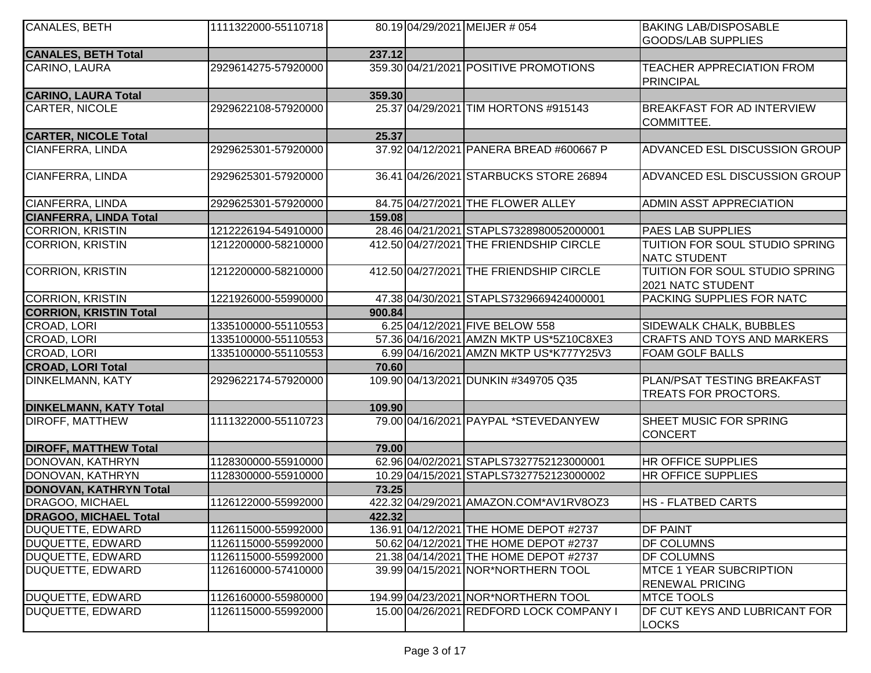| CANALES, BETH                 | 1111322000-55110718 |        | 80.19 04/29/2021 MEIJER # 054           | <b>BAKING LAB/DISPOSABLE</b><br><b>GOODS/LAB SUPPLIES</b>         |
|-------------------------------|---------------------|--------|-----------------------------------------|-------------------------------------------------------------------|
| <b>CANALES, BETH Total</b>    |                     | 237.12 |                                         |                                                                   |
| CARINO, LAURA                 | 2929614275-57920000 |        | 359.30 04/21/2021 POSITIVE PROMOTIONS   | <b>TEACHER APPRECIATION FROM</b><br><b>PRINCIPAL</b>              |
| <b>CARINO, LAURA Total</b>    |                     | 359.30 |                                         |                                                                   |
| CARTER, NICOLE                | 2929622108-57920000 |        | 25.37 04/29/2021 TIM HORTONS #915143    | <b>BREAKFAST FOR AD INTERVIEW</b><br>COMMITTEE.                   |
| <b>CARTER, NICOLE Total</b>   |                     | 25.37  |                                         |                                                                   |
| CIANFERRA, LINDA              | 2929625301-57920000 |        | 37.92 04/12/2021 PANERA BREAD #600667 P | ADVANCED ESL DISCUSSION GROUP                                     |
| CIANFERRA, LINDA              | 2929625301-57920000 |        | 36.41 04/26/2021 STARBUCKS STORE 26894  | ADVANCED ESL DISCUSSION GROUP                                     |
| CIANFERRA, LINDA              | 2929625301-57920000 |        | 84.75 04/27/2021 THE FLOWER ALLEY       | ADMIN ASST APPRECIATION                                           |
| <b>CIANFERRA, LINDA Total</b> |                     | 159.08 |                                         |                                                                   |
| <b>CORRION, KRISTIN</b>       | 1212226194-54910000 |        | 28.46 04/21/2021 STAPLS7328980052000001 | <b>PAES LAB SUPPLIES</b>                                          |
| <b>CORRION, KRISTIN</b>       | 1212200000-58210000 |        | 412.50 04/27/2021 THE FRIENDSHIP CIRCLE | TUITION FOR SOUL STUDIO SPRING<br><b>NATC STUDENT</b>             |
| <b>CORRION, KRISTIN</b>       | 1212200000-58210000 |        | 412.50 04/27/2021 THE FRIENDSHIP CIRCLE | TUITION FOR SOUL STUDIO SPRING<br>2021 NATC STUDENT               |
| <b>CORRION, KRISTIN</b>       | 1221926000-55990000 |        | 47.38 04/30/2021 STAPLS7329669424000001 | PACKING SUPPLIES FOR NATC                                         |
| <b>CORRION, KRISTIN Total</b> |                     | 900.84 |                                         |                                                                   |
| CROAD, LORI                   | 1335100000-55110553 |        | 6.25 04/12/2021 FIVE BELOW 558          | SIDEWALK CHALK, BUBBLES                                           |
| CROAD, LORI                   | 1335100000-55110553 |        | 57.36 04/16/2021 AMZN MKTP US*5Z10C8XE3 | <b>CRAFTS AND TOYS AND MARKERS</b>                                |
| CROAD, LORI                   | 1335100000-55110553 |        | 6.99 04/16/2021 AMZN MKTP US*K777Y25V3  | <b>FOAM GOLF BALLS</b>                                            |
| <b>CROAD, LORI Total</b>      |                     | 70.60  |                                         |                                                                   |
| <b>DINKELMANN, KATY</b>       | 2929622174-57920000 |        | 109.90 04/13/2021 DUNKIN #349705 Q35    | <b>PLAN/PSAT TESTING BREAKFAST</b><br><b>TREATS FOR PROCTORS.</b> |
| <b>DINKELMANN, KATY Total</b> |                     | 109.90 |                                         |                                                                   |
| <b>DIROFF, MATTHEW</b>        | 1111322000-55110723 |        | 79.00104/16/2021 PAYPAL *STEVEDANYEW    | SHEET MUSIC FOR SPRING<br><b>CONCERT</b>                          |
| <b>DIROFF, MATTHEW Total</b>  |                     | 79.00  |                                         |                                                                   |
| DONOVAN, KATHRYN              | 1128300000-55910000 |        | 62.96 04/02/2021 STAPLS7327752123000001 | <b>HR OFFICE SUPPLIES</b>                                         |
| DONOVAN, KATHRYN              | 1128300000-55910000 |        | 10.29 04/15/2021 STAPLS7327752123000002 | <b>HR OFFICE SUPPLIES</b>                                         |
| <b>DONOVAN, KATHRYN Total</b> |                     | 73.25  |                                         |                                                                   |
| DRAGOO, MICHAEL               | 1126122000-55992000 |        | 422.32 04/29/2021 AMAZON.COM*AV1RV8OZ3  | <b>HS - FLATBED CARTS</b>                                         |
| <b>DRAGOO, MICHAEL Total</b>  |                     | 422.32 |                                         |                                                                   |
| DUQUETTE, EDWARD              | 1126115000-55992000 |        | 136.91 04/12/2021 THE HOME DEPOT #2737  | <b>DF PAINT</b>                                                   |
| DUQUETTE, EDWARD              | 1126115000-55992000 |        | 50.62 04/12/2021 THE HOME DEPOT #2737   | <b>DF COLUMNS</b>                                                 |
| DUQUETTE, EDWARD              | 1126115000-55992000 |        | 21.38 04/14/2021 THE HOME DEPOT #2737   | <b>DF COLUMNS</b>                                                 |
| DUQUETTE, EDWARD              | 1126160000-57410000 |        | 39.99 04/15/2021 NOR*NORTHERN TOOL      | <b>MTCE 1 YEAR SUBCRIPTION</b><br><b>RENEWAL PRICING</b>          |
| DUQUETTE, EDWARD              | 1126160000-55980000 |        | 194.99 04/23/2021 NOR*NORTHERN TOOL     | <b>MTCE TOOLS</b>                                                 |
| DUQUETTE, EDWARD              | 1126115000-55992000 |        | 15.00 04/26/2021 REDFORD LOCK COMPANY I | DF CUT KEYS AND LUBRICANT FOR<br><b>LOCKS</b>                     |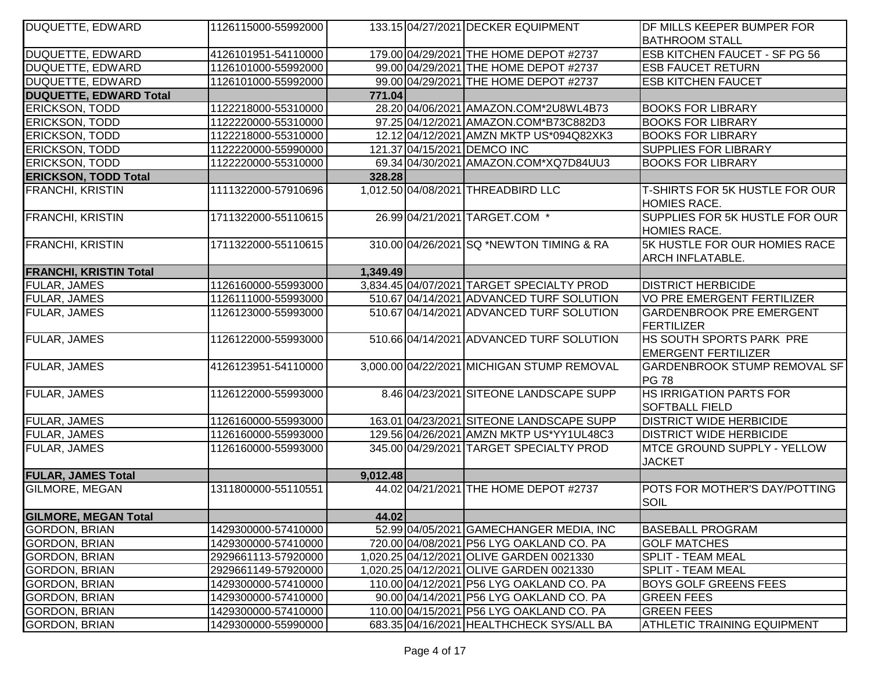| <b>DUQUETTE, EDWARD</b>       | 1126115000-55992000 |          | 133.15 04/27/2021 DECKER EQUIPMENT         | DF MILLS KEEPER BUMPER FOR                                   |
|-------------------------------|---------------------|----------|--------------------------------------------|--------------------------------------------------------------|
|                               |                     |          |                                            | <b>BATHROOM STALL</b>                                        |
| <b>DUQUETTE, EDWARD</b>       | 4126101951-54110000 |          | 179.00 04/29/2021 THE HOME DEPOT #2737     | <b>ESB KITCHEN FAUCET - SF PG 56</b>                         |
| <b>DUQUETTE, EDWARD</b>       | 1126101000-55992000 |          | 99.00 04/29/2021 THE HOME DEPOT #2737      | <b>ESB FAUCET RETURN</b>                                     |
| <b>DUQUETTE, EDWARD</b>       | 1126101000-55992000 |          | 99.00 04/29/2021 THE HOME DEPOT #2737      | <b>ESB KITCHEN FAUCET</b>                                    |
| <b>DUQUETTE, EDWARD Total</b> |                     | 771.04   |                                            |                                                              |
| <b>ERICKSON, TODD</b>         | 1122218000-55310000 |          | 28.20 04/06/2021 AMAZON.COM*2U8WL4B73      | <b>BOOKS FOR LIBRARY</b>                                     |
| ERICKSON, TODD                | 1122220000-55310000 |          | 97.25 04/12/2021 AMAZON.COM*B73C882D3      | <b>BOOKS FOR LIBRARY</b>                                     |
| <b>ERICKSON, TODD</b>         | 1122218000-55310000 |          | 12.12 04/12/2021 AMZN MKTP US*094Q82XK3    | <b>BOOKS FOR LIBRARY</b>                                     |
| <b>ERICKSON, TODD</b>         | 1122220000-55990000 |          | 121.37 04/15/2021 DEMCO INC                | <b>SUPPLIES FOR LIBRARY</b>                                  |
| <b>ERICKSON, TODD</b>         | 1122220000-55310000 |          | 69.34 04/30/2021 AMAZON.COM*XQ7D84UU3      | <b>BOOKS FOR LIBRARY</b>                                     |
| <b>ERICKSON, TODD Total</b>   |                     | 328.28   |                                            |                                                              |
| <b>FRANCHI, KRISTIN</b>       | 1111322000-57910696 |          | 1,012.50 04/08/2021 THREADBIRD LLC         | <b>T-SHIRTS FOR 5K HUSTLE FOR OUR</b><br><b>HOMIES RACE.</b> |
| <b>FRANCHI, KRISTIN</b>       | 1711322000-55110615 |          | 26.99 04/21/2021 TARGET.COM *              | SUPPLIES FOR 5K HUSTLE FOR OUR<br><b>HOMIES RACE.</b>        |
| <b>FRANCHI, KRISTIN</b>       | 1711322000-55110615 |          | 310.00 04/26/2021 SQ *NEWTON TIMING & RA   | 5K HUSTLE FOR OUR HOMIES RACE<br><b>ARCH INFLATABLE.</b>     |
| <b>FRANCHI, KRISTIN Total</b> |                     | 1,349.49 |                                            |                                                              |
| FULAR, JAMES                  | 1126160000-55993000 |          | 3,834.45 04/07/2021 TARGET SPECIALTY PROD  | <b>DISTRICT HERBICIDE</b>                                    |
| FULAR, JAMES                  | 1126111000-55993000 |          | 510.67 04/14/2021 ADVANCED TURF SOLUTION   | <b>VO PRE EMERGENT FERTILIZER</b>                            |
| FULAR, JAMES                  | 1126123000-55993000 |          | 510.67 04/14/2021 ADVANCED TURF SOLUTION   | <b>GARDENBROOK PRE EMERGENT</b><br>FERTILIZER                |
| <b>FULAR, JAMES</b>           | 1126122000-55993000 |          | 510.66 04/14/2021 ADVANCED TURF SOLUTION   | HS SOUTH SPORTS PARK PRE<br><b>EMERGENT FERTILIZER</b>       |
| <b>FULAR, JAMES</b>           | 4126123951-54110000 |          | 3,000.00 04/22/2021 MICHIGAN STUMP REMOVAL | <b>GARDENBROOK STUMP REMOVAL SF</b><br><b>PG 78</b>          |
| <b>FULAR, JAMES</b>           | 1126122000-55993000 |          | 8.46 04/23/2021 SITEONE LANDSCAPE SUPP     | <b>HS IRRIGATION PARTS FOR</b><br><b>SOFTBALL FIELD</b>      |
| <b>FULAR, JAMES</b>           | 1126160000-55993000 |          | 163.01 04/23/2021 SITEONE LANDSCAPE SUPP   | <b>DISTRICT WIDE HERBICIDE</b>                               |
| FULAR, JAMES                  | 1126160000-55993000 |          | 129.56 04/26/2021 AMZN MKTP US*YY1UL48C3   | <b>DISTRICT WIDE HERBICIDE</b>                               |
| <b>FULAR, JAMES</b>           | 1126160000-55993000 |          | 345.00 04/29/2021 TARGET SPECIALTY PROD    | <b>MTCE GROUND SUPPLY - YELLOW</b><br><b>JACKET</b>          |
| <b>FULAR, JAMES Total</b>     |                     | 9,012.48 |                                            |                                                              |
| <b>GILMORE, MEGAN</b>         | 1311800000-55110551 |          | 44.02 04/21/2021 THE HOME DEPOT #2737      | POTS FOR MOTHER'S DAY/POTTING<br>SOIL                        |
| <b>GILMORE, MEGAN Total</b>   |                     | 44.02    |                                            |                                                              |
| <b>GORDON, BRIAN</b>          | 1429300000-57410000 |          | 52.99 04/05/2021 GAMECHANGER MEDIA, INC    | <b>BASEBALL PROGRAM</b>                                      |
| <b>GORDON, BRIAN</b>          | 1429300000-57410000 |          | 720.00 04/08/2021 P56 LYG OAKLAND CO. PA   | <b>GOLF MATCHES</b>                                          |
| <b>GORDON, BRIAN</b>          | 2929661113-57920000 |          | 1,020.25 04/12/2021 OLIVE GARDEN 0021330   | <b>SPLIT - TEAM MEAL</b>                                     |
| <b>GORDON, BRIAN</b>          | 2929661149-57920000 |          | 1,020.25 04/12/2021 OLIVE GARDEN 0021330   | <b>SPLIT - TEAM MEAL</b>                                     |
| <b>GORDON, BRIAN</b>          | 1429300000-57410000 |          | 110.00 04/12/2021 P56 LYG OAKLAND CO. PA   | <b>BOYS GOLF GREENS FEES</b>                                 |
| <b>GORDON, BRIAN</b>          | 1429300000-57410000 |          | 90.00 04/14/2021 P56 LYG OAKLAND CO. PA    | <b>GREEN FEES</b>                                            |
| <b>GORDON, BRIAN</b>          | 1429300000-57410000 |          | 110.00 04/15/2021 P56 LYG OAKLAND CO. PA   | <b>GREEN FEES</b>                                            |
| <b>GORDON, BRIAN</b>          | 1429300000-55990000 |          | 683.35 04/16/2021 HEALTHCHECK SYS/ALL BA   | <b>ATHLETIC TRAINING EQUIPMENT</b>                           |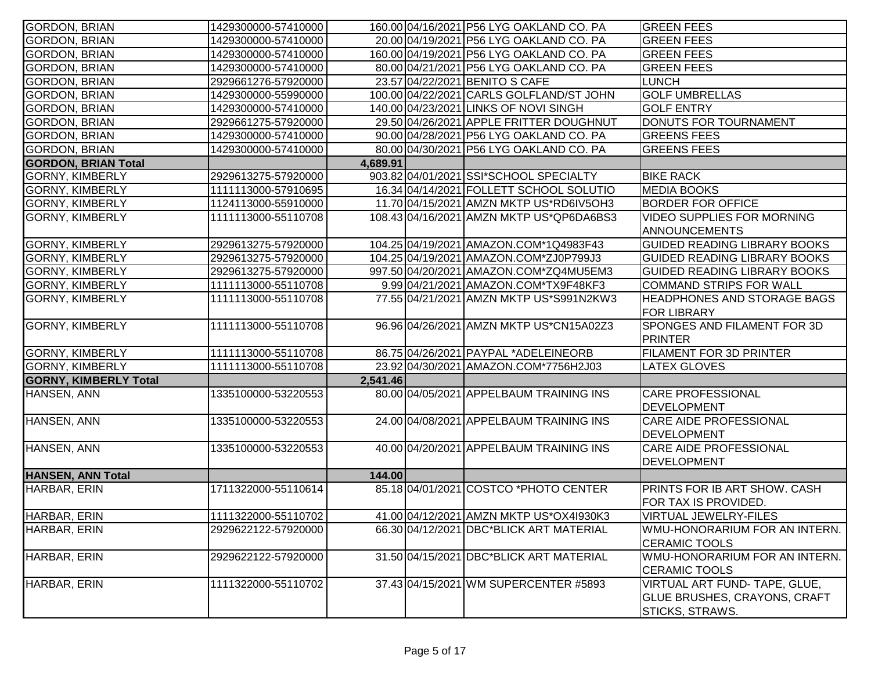| <b>GORDON, BRIAN</b>         | 1429300000-57410000 |          | 160.00 04/16/2021 P56 LYG OAKLAND CO. PA | <b>GREEN FEES</b>                   |
|------------------------------|---------------------|----------|------------------------------------------|-------------------------------------|
| <b>GORDON, BRIAN</b>         | 1429300000-57410000 |          | 20.00 04/19/2021 P56 LYG OAKLAND CO. PA  | <b>GREEN FEES</b>                   |
| <b>GORDON, BRIAN</b>         | 1429300000-57410000 |          | 160.00 04/19/2021 P56 LYG OAKLAND CO. PA | <b>GREEN FEES</b>                   |
| <b>GORDON, BRIAN</b>         | 1429300000-57410000 |          | 80.00 04/21/2021 P56 LYG OAKLAND CO. PA  | <b>GREEN FEES</b>                   |
| <b>GORDON, BRIAN</b>         | 2929661276-57920000 |          | 23.57 04/22/2021 BENITO S CAFE           | <b>LUNCH</b>                        |
| <b>GORDON, BRIAN</b>         | 1429300000-55990000 |          | 100.00 04/22/2021 CARLS GOLFLAND/ST JOHN | <b>GOLF UMBRELLAS</b>               |
| <b>GORDON, BRIAN</b>         | 1429300000-57410000 |          | 140.00 04/23/2021 LINKS OF NOVI SINGH    | <b>GOLF ENTRY</b>                   |
| <b>GORDON, BRIAN</b>         | 2929661275-57920000 |          | 29.50 04/26/2021 APPLE FRITTER DOUGHNUT  | DONUTS FOR TOURNAMENT               |
| <b>GORDON, BRIAN</b>         | 1429300000-57410000 |          | 90.00 04/28/2021 P56 LYG OAKLAND CO. PA  | <b>GREENS FEES</b>                  |
| <b>GORDON, BRIAN</b>         | 1429300000-57410000 |          | 80.00 04/30/2021 P56 LYG OAKLAND CO. PA  | <b>GREENS FEES</b>                  |
| <b>GORDON, BRIAN Total</b>   |                     | 4,689.91 |                                          |                                     |
| <b>GORNY, KIMBERLY</b>       | 2929613275-57920000 |          | 903.82 04/01/2021 SSI*SCHOOL SPECIALTY   | <b>BIKE RACK</b>                    |
| <b>GORNY, KIMBERLY</b>       | 1111113000-57910695 |          | 16.34 04/14/2021 FOLLETT SCHOOL SOLUTIO  | <b>MEDIA BOOKS</b>                  |
| <b>GORNY, KIMBERLY</b>       | 1124113000-55910000 |          | 11.70 04/15/2021 AMZN MKTP US*RD6IV5OH3  | <b>BORDER FOR OFFICE</b>            |
| <b>GORNY, KIMBERLY</b>       | 1111113000-55110708 |          | 108.43 04/16/2021 AMZN MKTP US*QP6DA6BS3 | <b>VIDEO SUPPLIES FOR MORNING</b>   |
|                              |                     |          |                                          | <b>ANNOUNCEMENTS</b>                |
| <b>GORNY, KIMBERLY</b>       | 2929613275-57920000 |          | 104.25 04/19/2021 AMAZON.COM*1Q4983F43   | <b>GUIDED READING LIBRARY BOOKS</b> |
| <b>GORNY, KIMBERLY</b>       | 2929613275-57920000 |          | 104.25 04/19/2021 AMAZON.COM*ZJ0P799J3   | GUIDED READING LIBRARY BOOKS        |
| <b>GORNY, KIMBERLY</b>       | 2929613275-57920000 |          | 997.50 04/20/2021 AMAZON.COM*ZQ4MU5EM3   | <b>GUIDED READING LIBRARY BOOKS</b> |
| <b>GORNY, KIMBERLY</b>       | 1111113000-55110708 |          | 9.99 04/21/2021 AMAZON.COM*TX9F48KF3     | <b>COMMAND STRIPS FOR WALL</b>      |
| <b>GORNY, KIMBERLY</b>       | 1111113000-55110708 |          | 77.55 04/21/2021 AMZN MKTP US*S991N2KW3  | <b>HEADPHONES AND STORAGE BAGS</b>  |
|                              |                     |          |                                          | <b>FOR LIBRARY</b>                  |
| <b>GORNY, KIMBERLY</b>       | 1111113000-55110708 |          | 96.96 04/26/2021 AMZN MKTP US*CN15A02Z3  | SPONGES AND FILAMENT FOR 3D         |
|                              |                     |          |                                          | PRINTER                             |
| <b>GORNY, KIMBERLY</b>       | 1111113000-55110708 |          | 86.75 04/26/2021 PAYPAL *ADELEINEORB     | <b>FILAMENT FOR 3D PRINTER</b>      |
| <b>GORNY, KIMBERLY</b>       | 1111113000-55110708 |          | 23.92 04/30/2021 AMAZON.COM*7756H2J03    | <b>LATEX GLOVES</b>                 |
| <b>GORNY, KIMBERLY Total</b> |                     | 2,541.46 |                                          |                                     |
| HANSEN, ANN                  | 1335100000-53220553 |          | 80.00 04/05/2021 APPELBAUM TRAINING INS  | <b>CARE PROFESSIONAL</b>            |
|                              |                     |          |                                          | <b>DEVELOPMENT</b>                  |
| HANSEN, ANN                  | 1335100000-53220553 |          | 24.00 04/08/2021 APPELBAUM TRAINING INS  | <b>CARE AIDE PROFESSIONAL</b>       |
|                              |                     |          |                                          | <b>DEVELOPMENT</b>                  |
| HANSEN, ANN                  | 1335100000-53220553 |          | 40.00 04/20/2021 APPELBAUM TRAINING INS  | <b>CARE AIDE PROFESSIONAL</b>       |
|                              |                     |          |                                          | <b>DEVELOPMENT</b>                  |
| <b>HANSEN, ANN Total</b>     |                     | 144.00   |                                          |                                     |
| HARBAR, ERIN                 | 1711322000-55110614 |          | 85.18 04/01/2021 COSTCO *PHOTO CENTER    | PRINTS FOR IB ART SHOW. CASH        |
|                              |                     |          |                                          | FOR TAX IS PROVIDED.                |
| HARBAR, ERIN                 | 1111322000-55110702 |          | 41.00 04/12/2021 AMZN MKTP US*OX41930K3  | VIRTUAL JEWELRY-FILES               |
| HARBAR, ERIN                 | 2929622122-57920000 |          | 66.30 04/12/2021 DBC*BLICK ART MATERIAL  | WMU-HONORARIUM FOR AN INTERN.       |
|                              |                     |          |                                          | <b>CERAMIC TOOLS</b>                |
| HARBAR, ERIN                 | 2929622122-57920000 |          | 31.50 04/15/2021 DBC*BLICK ART MATERIAL  | WMU-HONORARIUM FOR AN INTERN.       |
|                              |                     |          |                                          | <b>CERAMIC TOOLS</b>                |
| HARBAR, ERIN                 | 1111322000-55110702 |          | 37.43 04/15/2021 WM SUPERCENTER #5893    | VIRTUAL ART FUND- TAPE, GLUE,       |
|                              |                     |          |                                          | GLUE BRUSHES, CRAYONS, CRAFT        |
|                              |                     |          |                                          | STICKS, STRAWS.                     |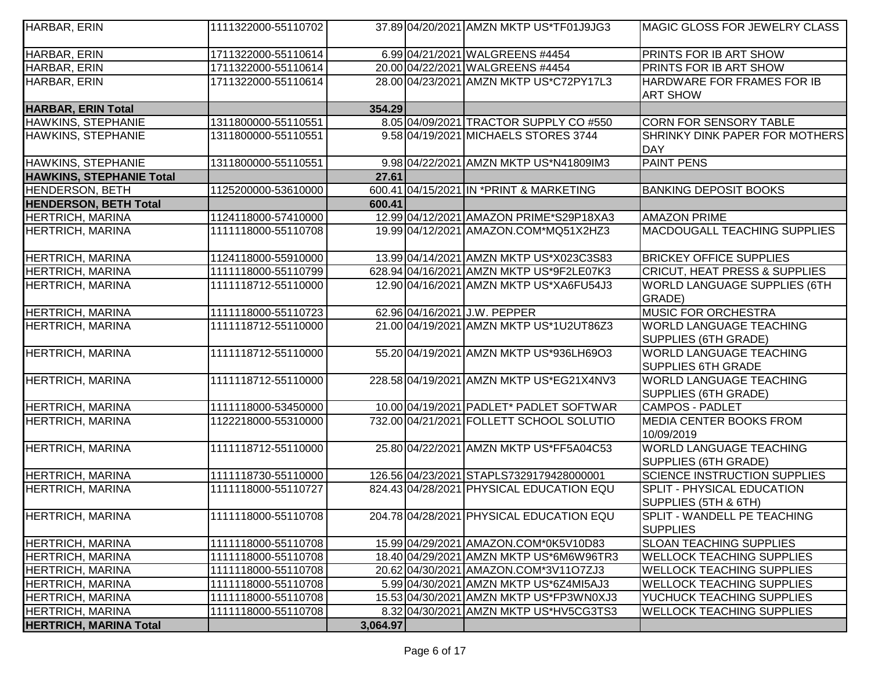| HARBAR, ERIN                    | 1111322000-55110702 |          | 37.89 04/20/2021 AMZN MKTP US*TF01J9JG3  | MAGIC GLOSS FOR JEWELRY CLASS                               |
|---------------------------------|---------------------|----------|------------------------------------------|-------------------------------------------------------------|
| HARBAR, ERIN                    | 1711322000-55110614 |          | 6.99 04/21/2021 WALGREENS #4454          | <b>PRINTS FOR IB ART SHOW</b>                               |
| HARBAR, ERIN                    | 1711322000-55110614 |          | 20.00 04/22/2021 WALGREENS #4454         | PRINTS FOR IB ART SHOW                                      |
| HARBAR, ERIN                    | 1711322000-55110614 |          | 28.00 04/23/2021 AMZN MKTP US*C72PY17L3  | HARDWARE FOR FRAMES FOR IB<br><b>ART SHOW</b>               |
| <b>HARBAR, ERIN Total</b>       |                     | 354.29   |                                          |                                                             |
| HAWKINS, STEPHANIE              | 1311800000-55110551 |          | 8.05 04/09/2021 TRACTOR SUPPLY CO #550   | <b>CORN FOR SENSORY TABLE</b>                               |
| <b>HAWKINS, STEPHANIE</b>       | 1311800000-55110551 |          | 9.58 04/19/2021 MICHAELS STORES 3744     | SHRINKY DINK PAPER FOR MOTHERS<br>DAY                       |
| HAWKINS, STEPHANIE              | 1311800000-55110551 |          | 9.98 04/22/2021 AMZN MKTP US*N41809IM3   | <b>PAINT PENS</b>                                           |
| <b>HAWKINS, STEPHANIE Total</b> |                     | 27.61    |                                          |                                                             |
| <b>HENDERSON, BETH</b>          | 1125200000-53610000 |          | 600.41 04/15/2021 IN * PRINT & MARKETING | <b>BANKING DEPOSIT BOOKS</b>                                |
| <b>HENDERSON, BETH Total</b>    |                     | 600.41   |                                          |                                                             |
| <b>HERTRICH, MARINA</b>         | 1124118000-57410000 |          | 12.99 04/12/2021 AMAZON PRIME*S29P18XA3  | <b>AMAZON PRIME</b>                                         |
| <b>HERTRICH, MARINA</b>         | 1111118000-55110708 |          | 19.99 04/12/2021 AMAZON.COM*MQ51X2HZ3    | MACDOUGALL TEACHING SUPPLIES                                |
| <b>HERTRICH, MARINA</b>         | 1124118000-55910000 |          | 13.99 04/14/2021 AMZN MKTP US*X023C3S83  | <b>BRICKEY OFFICE SUPPLIES</b>                              |
| <b>HERTRICH, MARINA</b>         | 1111118000-55110799 |          | 628.94 04/16/2021 AMZN MKTP US*9F2LE07K3 | CRICUT, HEAT PRESS & SUPPLIES                               |
| <b>HERTRICH, MARINA</b>         | 1111118712-55110000 |          | 12.90 04/16/2021 AMZN MKTP US*XA6FU54J3  | <b>WORLD LANGUAGE SUPPLIES (6TH</b><br>GRADE)               |
| <b>HERTRICH, MARINA</b>         | 1111118000-55110723 |          | 62.96 04/16/2021 J.W. PEPPER             | <b>MUSIC FOR ORCHESTRA</b>                                  |
| <b>HERTRICH, MARINA</b>         | 1111118712-55110000 |          | 21.00 04/19/2021 AMZN MKTP US*1U2UT86Z3  | <b>WORLD LANGUAGE TEACHING</b><br>SUPPLIES (6TH GRADE)      |
| <b>HERTRICH, MARINA</b>         | 1111118712-55110000 |          | 55.20 04/19/2021 AMZN MKTP US*936LH69O3  | <b>WORLD LANGUAGE TEACHING</b><br><b>SUPPLIES 6TH GRADE</b> |
| <b>HERTRICH, MARINA</b>         | 1111118712-55110000 |          | 228.58 04/19/2021 AMZN MKTP US*EG21X4NV3 | <b>WORLD LANGUAGE TEACHING</b><br>SUPPLIES (6TH GRADE)      |
| <b>HERTRICH, MARINA</b>         | 1111118000-53450000 |          | 10.00 04/19/2021 PADLET* PADLET SOFTWAR  | CAMPOS - PADLET                                             |
| <b>HERTRICH, MARINA</b>         | 1122218000-55310000 |          | 732.00 04/21/2021 FOLLETT SCHOOL SOLUTIO | <b>MEDIA CENTER BOOKS FROM</b><br>10/09/2019                |
| <b>HERTRICH, MARINA</b>         | 1111118712-55110000 |          | 25.80 04/22/2021 AMZN MKTP US*FF5A04C53  | <b>WORLD LANGUAGE TEACHING</b><br>SUPPLIES (6TH GRADE)      |
| <b>HERTRICH, MARINA</b>         | 1111118730-55110000 |          | 126.56 04/23/2021 STAPLS7329179428000001 | <b>SCIENCE INSTRUCTION SUPPLIES</b>                         |
| <b>HERTRICH, MARINA</b>         | 1111118000-55110727 |          | 824.43 04/28/2021 PHYSICAL EDUCATION EQU | <b>SPLIT - PHYSICAL EDUCATION</b><br>SUPPLIES (5TH & 6TH)   |
| <b>HERTRICH, MARINA</b>         | 1111118000-55110708 |          | 204.78 04/28/2021 PHYSICAL EDUCATION EQU | SPLIT - WANDELL PE TEACHING<br><b>SUPPLIES</b>              |
| <b>HERTRICH, MARINA</b>         | 1111118000-55110708 |          | 15.99 04/29/2021 AMAZON.COM*0K5V10D83    | <b>SLOAN TEACHING SUPPLIES</b>                              |
| <b>HERTRICH, MARINA</b>         | 1111118000-55110708 |          | 18.40 04/29/2021 AMZN MKTP US*6M6W96TR3  | <b>WELLOCK TEACHING SUPPLIES</b>                            |
| <b>HERTRICH, MARINA</b>         | 1111118000-55110708 |          | 20.62 04/30/2021 AMAZON.COM*3V11O7ZJ3    | <b>WELLOCK TEACHING SUPPLIES</b>                            |
| <b>HERTRICH, MARINA</b>         | 1111118000-55110708 |          | 5.99 04/30/2021 AMZN MKTP US*6Z4MI5AJ3   | <b>WELLOCK TEACHING SUPPLIES</b>                            |
| <b>HERTRICH, MARINA</b>         | 1111118000-55110708 |          | 15.53 04/30/2021 AMZN MKTP US*FP3WN0XJ3  | YUCHUCK TEACHING SUPPLIES                                   |
| <b>HERTRICH, MARINA</b>         | 1111118000-55110708 |          | 8.32 04/30/2021 AMZN MKTP US*HV5CG3TS3   | <b>WELLOCK TEACHING SUPPLIES</b>                            |
| <b>HERTRICH, MARINA Total</b>   |                     | 3,064.97 |                                          |                                                             |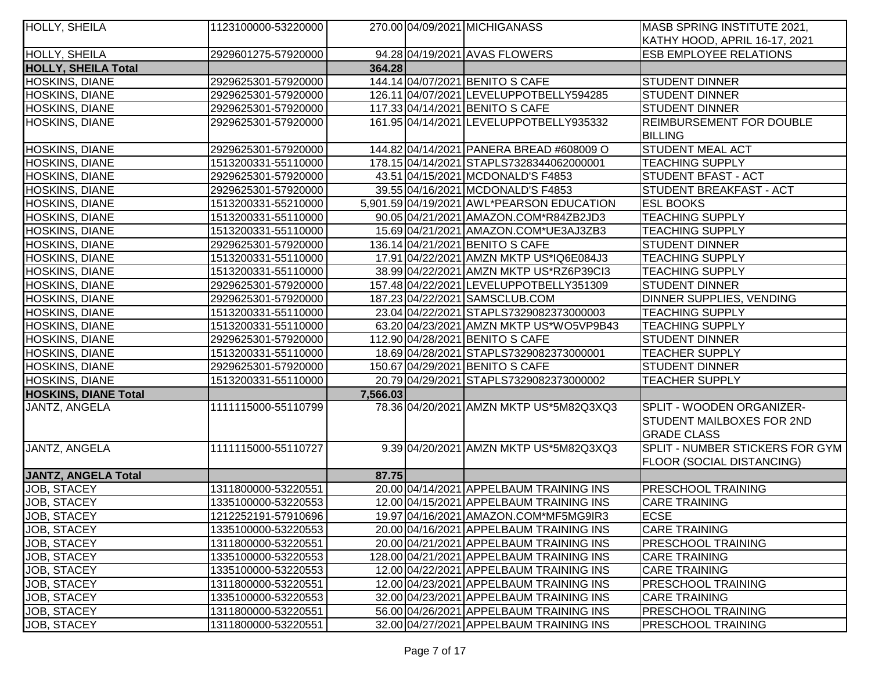| <b>HOLLY, SHEILA</b>        | 1123100000-53220000 |          | 270.00 04/09/2021 MICHIGANASS             | MASB SPRING INSTITUTE 2021,      |
|-----------------------------|---------------------|----------|-------------------------------------------|----------------------------------|
|                             |                     |          |                                           | KATHY HOOD, APRIL 16-17, 2021    |
| <b>HOLLY, SHEILA</b>        | 2929601275-57920000 |          | 94.28 04/19/2021 AVAS FLOWERS             | <b>ESB EMPLOYEE RELATIONS</b>    |
| <b>HOLLY, SHEILA Total</b>  |                     | 364.28   |                                           |                                  |
| <b>HOSKINS, DIANE</b>       | 2929625301-57920000 |          | 144.14 04/07/2021 BENITO S CAFE           | <b>STUDENT DINNER</b>            |
| <b>HOSKINS, DIANE</b>       | 2929625301-57920000 |          | 126.11 04/07/2021 LEVELUPPOTBELLY594285   | <b>STUDENT DINNER</b>            |
| <b>HOSKINS, DIANE</b>       | 2929625301-57920000 |          | 117.33 04/14/2021 BENITO S CAFE           | <b>STUDENT DINNER</b>            |
| <b>HOSKINS, DIANE</b>       | 2929625301-57920000 |          | 161.95 04/14/2021 LEVELUPPOTBELLY935332   | <b>REIMBURSEMENT FOR DOUBLE</b>  |
|                             |                     |          |                                           | <b>BILLING</b>                   |
| <b>HOSKINS, DIANE</b>       | 2929625301-57920000 |          | 144.82 04/14/2021 PANERA BREAD #608009 O  | <b>STUDENT MEAL ACT</b>          |
| <b>HOSKINS, DIANE</b>       | 1513200331-55110000 |          | 178.15 04/14/2021 STAPLS7328344062000001  | <b>TEACHING SUPPLY</b>           |
| <b>HOSKINS, DIANE</b>       | 2929625301-57920000 |          | 43.51 04/15/2021 MCDONALD'S F4853         | <b>STUDENT BFAST - ACT</b>       |
| <b>HOSKINS, DIANE</b>       | 2929625301-57920000 |          | 39.55 04/16/2021 MCDONALD'S F4853         | <b>STUDENT BREAKFAST - ACT</b>   |
| <b>HOSKINS, DIANE</b>       | 1513200331-55210000 |          | 5,901.59 04/19/2021 AWL*PEARSON EDUCATION | <b>ESL BOOKS</b>                 |
| <b>HOSKINS, DIANE</b>       | 1513200331-55110000 |          | 90.05 04/21/2021 AMAZON.COM*R84ZB2JD3     | <b>TEACHING SUPPLY</b>           |
| <b>HOSKINS, DIANE</b>       | 1513200331-55110000 |          | 15.69 04/21/2021   AMAZON.COM*UE3AJ3ZB3   | <b>TEACHING SUPPLY</b>           |
| <b>HOSKINS, DIANE</b>       | 2929625301-57920000 |          | 136.14 04/21/2021 BENITO S CAFE           | <b>STUDENT DINNER</b>            |
| <b>HOSKINS, DIANE</b>       | 1513200331-55110000 |          | 17.91 04/22/2021 AMZN MKTP US*IQ6E084J3   | <b>TEACHING SUPPLY</b>           |
| <b>HOSKINS, DIANE</b>       | 1513200331-55110000 |          | 38.99 04/22/2021 AMZN MKTP US*RZ6P39Cl3   | <b>TEACHING SUPPLY</b>           |
| <b>HOSKINS, DIANE</b>       | 2929625301-57920000 |          | 157.48 04/22/2021 LEVELUPPOTBELLY351309   | <b>STUDENT DINNER</b>            |
| <b>HOSKINS, DIANE</b>       | 2929625301-57920000 |          | 187.23 04/22/2021 SAMSCLUB.COM            | <b>DINNER SUPPLIES, VENDING</b>  |
| <b>HOSKINS, DIANE</b>       | 1513200331-55110000 |          | 23.04 04/22/2021 STAPLS7329082373000003   | <b>TEACHING SUPPLY</b>           |
| <b>HOSKINS, DIANE</b>       | 1513200331-55110000 |          | 63.20 04/23/2021 AMZN MKTP US*WO5VP9B43   | <b>TEACHING SUPPLY</b>           |
| <b>HOSKINS, DIANE</b>       | 2929625301-57920000 |          | 112.90 04/28/2021 BENITO S CAFE           | <b>STUDENT DINNER</b>            |
| <b>HOSKINS, DIANE</b>       | 1513200331-55110000 |          | 18.69 04/28/2021 STAPLS7329082373000001   | <b>TEACHER SUPPLY</b>            |
| <b>HOSKINS, DIANE</b>       | 2929625301-57920000 |          | 150.67 04/29/2021 BENITO S CAFE           | <b>STUDENT DINNER</b>            |
| <b>HOSKINS, DIANE</b>       | 1513200331-55110000 |          | 20.79 04/29/2021 STAPLS7329082373000002   | <b>TEACHER SUPPLY</b>            |
| <b>HOSKINS, DIANE Total</b> |                     | 7,566.03 |                                           |                                  |
| JANTZ, ANGELA               | 1111115000-55110799 |          | 78.36 04/20/2021 AMZN MKTP US*5M82Q3XQ3   | SPLIT - WOODEN ORGANIZER-        |
|                             |                     |          |                                           | <b>STUDENT MAILBOXES FOR 2ND</b> |
|                             |                     |          |                                           | <b>GRADE CLASS</b>               |
| JANTZ, ANGELA               | 1111115000-55110727 |          | 9.39 04/20/2021 AMZN MKTP US*5M82Q3XQ3    | SPLIT - NUMBER STICKERS FOR GYM  |
|                             |                     |          |                                           | <b>FLOOR (SOCIAL DISTANCING)</b> |
| <b>JANTZ, ANGELA Total</b>  |                     | 87.75    |                                           |                                  |
| JOB, STACEY                 | 1311800000-53220551 |          | 20.00 04/14/2021 APPELBAUM TRAINING INS   | <b>PRESCHOOL TRAINING</b>        |
| <b>JOB, STACEY</b>          | 1335100000-53220553 |          | 12.00 04/15/2021 APPELBAUM TRAINING INS   | <b>CARE TRAINING</b>             |
| JOB, STACEY                 | 1212252191-57910696 |          | 19.97 04/16/2021 AMAZON.COM*MF5MG9IR3     | <b>ECSE</b>                      |
| JOB, STACEY                 | 1335100000-53220553 |          | 20.00 04/16/2021 APPELBAUM TRAINING INS   | <b>CARE TRAINING</b>             |
| JOB, STACEY                 | 1311800000-53220551 |          | 20.00 04/21/2021 APPELBAUM TRAINING INS   | <b>PRESCHOOL TRAINING</b>        |
| JOB, STACEY                 | 1335100000-53220553 |          | 128.00 04/21/2021 APPELBAUM TRAINING INS  | <b>CARE TRAINING</b>             |
| <b>JOB, STACEY</b>          | 1335100000-53220553 |          | 12.00 04/22/2021 APPELBAUM TRAINING INS   | <b>CARE TRAINING</b>             |
| JOB, STACEY                 | 1311800000-53220551 |          | 12.00 04/23/2021 APPELBAUM TRAINING INS   | <b>PRESCHOOL TRAINING</b>        |
| JOB, STACEY                 | 1335100000-53220553 |          | 32.00 04/23/2021 APPELBAUM TRAINING INS   | <b>CARE TRAINING</b>             |
| <b>JOB, STACEY</b>          | 1311800000-53220551 |          | 56.00 04/26/2021 APPELBAUM TRAINING INS   | <b>PRESCHOOL TRAINING</b>        |
| JOB, STACEY                 | 1311800000-53220551 |          | 32.00 04/27/2021 APPELBAUM TRAINING INS   | <b>PRESCHOOL TRAINING</b>        |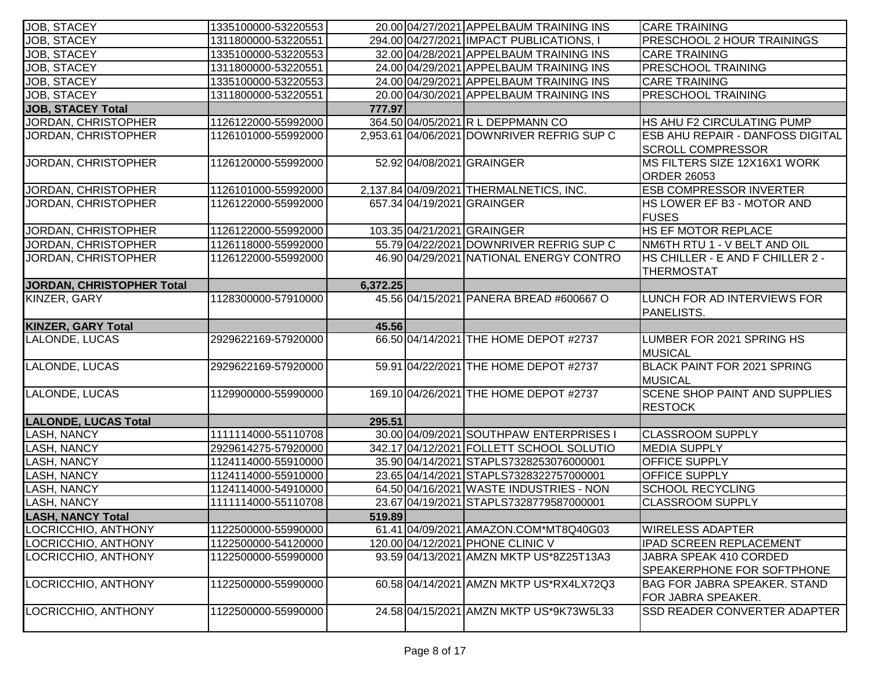| <b>JOB, STACEY</b>               | 1335100000-53220553 |          | 20.00 04/27/2021 APPELBAUM TRAINING INS    | <b>CARE TRAINING</b>                                             |
|----------------------------------|---------------------|----------|--------------------------------------------|------------------------------------------------------------------|
| <b>JOB, STACEY</b>               | 1311800000-53220551 |          | 294.00 04/27/2021 IMPACT PUBLICATIONS, I   | PRESCHOOL 2 HOUR TRAININGS                                       |
| JOB, STACEY                      | 1335100000-53220553 |          | 32.00 04/28/2021 APPELBAUM TRAINING INS    | <b>CARE TRAINING</b>                                             |
| JOB, STACEY                      | 1311800000-53220551 |          | 24.00 04/29/2021 APPELBAUM TRAINING INS    | <b>PRESCHOOL TRAINING</b>                                        |
| JOB, STACEY                      | 1335100000-53220553 |          | 24.00 04/29/2021 APPELBAUM TRAINING INS    | <b>CARE TRAINING</b>                                             |
| <b>JOB, STACEY</b>               | 1311800000-53220551 |          | 20.00 04/30/2021 APPELBAUM TRAINING INS    | <b>PRESCHOOL TRAINING</b>                                        |
| <b>JOB, STACEY Total</b>         |                     | 777.97   |                                            |                                                                  |
| <b>JORDAN, CHRISTOPHER</b>       | 1126122000-55992000 |          | 364.50 04/05/2021 R L DEPPMANN CO          | HS AHU F2 CIRCULATING PUMP                                       |
| <b>JORDAN, CHRISTOPHER</b>       | 1126101000-55992000 |          | 2,953.61 04/06/2021 DOWNRIVER REFRIG SUP C | ESB AHU REPAIR - DANFOSS DIGITAL<br><b>SCROLL COMPRESSOR</b>     |
| <b>JORDAN, CHRISTOPHER</b>       | 1126120000-55992000 |          | 52.92 04/08/2021 GRAINGER                  | MS FILTERS SIZE 12X16X1 WORK                                     |
| <b>JORDAN, CHRISTOPHER</b>       | 1126101000-55992000 |          |                                            | <b>ORDER 26053</b>                                               |
| <b>JORDAN, CHRISTOPHER</b>       |                     |          | 2,137.84 04/09/2021 THERMALNETICS, INC.    | <b>ESB COMPRESSOR INVERTER</b>                                   |
|                                  | 1126122000-55992000 |          | 657.34 04/19/2021 GRAINGER                 | HS LOWER EF B3 - MOTOR AND<br><b>FUSES</b>                       |
| <b>JORDAN, CHRISTOPHER</b>       | 1126122000-55992000 |          | 103.35 04/21/2021 GRAINGER                 | <b>HS EF MOTOR REPLACE</b>                                       |
| JORDAN, CHRISTOPHER              | 1126118000-55992000 |          | 55.79 04/22/2021 DOWNRIVER REFRIG SUP C    | NM6TH RTU 1 - V BELT AND OIL                                     |
| JORDAN, CHRISTOPHER              | 1126122000-55992000 |          | 46.90 04/29/2021 NATIONAL ENERGY CONTRO    | HS CHILLER - E AND F CHILLER 2 -<br><b>THERMOSTAT</b>            |
| <b>JORDAN, CHRISTOPHER Total</b> |                     | 6,372.25 |                                            |                                                                  |
| KINZER, GARY                     | 1128300000-57910000 |          | 45.56 04/15/2021 PANERA BREAD #600667 O    | LUNCH FOR AD INTERVIEWS FOR<br>PANELISTS.                        |
| <b>KINZER, GARY Total</b>        |                     | 45.56    |                                            |                                                                  |
| LALONDE, LUCAS                   | 2929622169-57920000 |          | 66.50 04/14/2021 THE HOME DEPOT #2737      | LUMBER FOR 2021 SPRING HS<br>MUSICAL                             |
| LALONDE, LUCAS                   | 2929622169-57920000 |          | 59.91 04/22/2021 THE HOME DEPOT #2737      | BLACK PAINT FOR 2021 SPRING<br>MUSICAL                           |
| LALONDE, LUCAS                   | 1129900000-55990000 |          | 169.10 04/26/2021 THE HOME DEPOT #2737     | <b>SCENE SHOP PAINT AND SUPPLIES</b><br><b>RESTOCK</b>           |
| <b>LALONDE, LUCAS Total</b>      |                     | 295.51   |                                            |                                                                  |
| LASH, NANCY                      | 1111114000-55110708 |          | 30.00 04/09/2021 SOUTHPAW ENTERPRISES I    | <b>CLASSROOM SUPPLY</b>                                          |
| LASH, NANCY                      | 2929614275-57920000 |          | 342.17 04/12/2021 FOLLETT SCHOOL SOLUTIO   | <b>MEDIA SUPPLY</b>                                              |
| <b>LASH, NANCY</b>               | 1124114000-55910000 |          | 35.90 04/14/2021 STAPLS7328253076000001    | OFFICE SUPPLY                                                    |
| <b>LASH, NANCY</b>               | 1124114000-55910000 |          | 23.65 04/14/2021 STAPLS7328322757000001    | OFFICE SUPPLY                                                    |
| LASH, NANCY                      | 1124114000-54910000 |          | 64.50 04/16/2021 WASTE INDUSTRIES - NON    | <b>SCHOOL RECYCLING</b>                                          |
| <b>LASH, NANCY</b>               | 1111114000-55110708 |          | 23.67 04/19/2021 STAPLS7328779587000001    | <b>CLASSROOM SUPPLY</b>                                          |
| LASH, NANCY Total                |                     | 519.89   |                                            |                                                                  |
| LOCRICCHIO, ANTHONY              | 1122500000-55990000 |          | 61.41 04/09/2021 AMAZON.COM*MT8Q40G03      | <b>WIRELESS ADAPTER</b>                                          |
| LOCRICCHIO, ANTHONY              | 1122500000-54120000 |          | 120.00 04/12/2021 PHONE CLINIC V           | IPAD SCREEN REPLACEMENT                                          |
| LOCRICCHIO, ANTHONY              | 1122500000-55990000 |          | 93.59 04/13/2021 AMZN MKTP US*8Z25T13A3    | JABRA SPEAK 410 CORDED<br><b>SPEAKERPHONE FOR SOFTPHONE</b>      |
| LOCRICCHIO, ANTHONY              | 1122500000-55990000 |          | 60.58 04/14/2021 AMZN MKTP US*RX4LX72Q3    | <b>BAG FOR JABRA SPEAKER. STAND</b><br><b>FOR JABRA SPEAKER.</b> |
| LOCRICCHIO, ANTHONY              | 1122500000-55990000 |          | 24.58 04/15/2021 AMZN MKTP US*9K73W5L33    | <b>SSD READER CONVERTER ADAPTER</b>                              |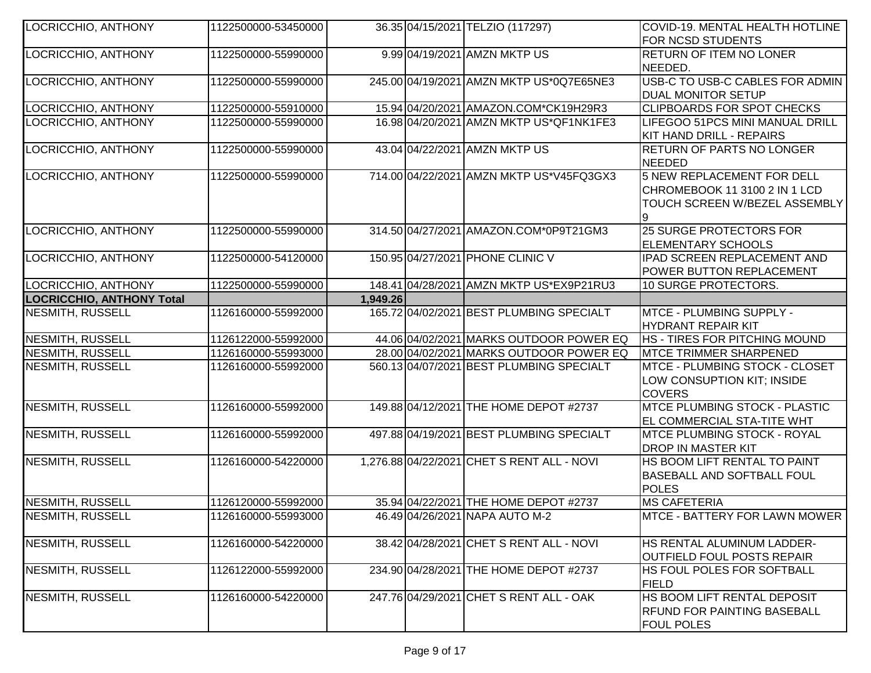| LOCRICCHIO, ANTHONY        | 1122500000-53450000 |          | 36.35 04/15/2021 TELZIO (117297)           | COVID-19. MENTAL HEALTH HOTLINE<br>FOR NCSD STUDENTS                                         |
|----------------------------|---------------------|----------|--------------------------------------------|----------------------------------------------------------------------------------------------|
| <b>LOCRICCHIO, ANTHONY</b> | 1122500000-55990000 |          | 9.99 04/19/2021 AMZN MKTP US               | RETURN OF ITEM NO LONER                                                                      |
|                            |                     |          |                                            | NEEDED.                                                                                      |
| LOCRICCHIO, ANTHONY        | 1122500000-55990000 |          | 245.00 04/19/2021 AMZN MKTP US*0Q7E65NE3   | USB-C TO USB-C CABLES FOR ADMIN<br><b>DUAL MONITOR SETUP</b>                                 |
| LOCRICCHIO, ANTHONY        | 1122500000-55910000 |          | 15.94 04/20/2021 AMAZON.COM*CK19H29R3      | <b>CLIPBOARDS FOR SPOT CHECKS</b>                                                            |
| <b>LOCRICCHIO, ANTHONY</b> | 1122500000-55990000 |          | 16.98 04/20/2021 AMZN MKTP US*QF1NK1FE3    | LIFEGOO 51PCS MINI MANUAL DRILL                                                              |
|                            |                     |          |                                            | KIT HAND DRILL - REPAIRS                                                                     |
| <b>LOCRICCHIO, ANTHONY</b> | 1122500000-55990000 |          | 43.04 04/22/2021 AMZN MKTP US              | <b>RETURN OF PARTS NO LONGER</b>                                                             |
|                            |                     |          |                                            | <b>NEEDED</b>                                                                                |
| LOCRICCHIO, ANTHONY        | 1122500000-55990000 |          | 714.00 04/22/2021 AMZN MKTP US*V45FQ3GX3   | 5 NEW REPLACEMENT FOR DELL<br>CHROMEBOOK 11 3100 2 IN 1 LCD<br>TOUCH SCREEN W/BEZEL ASSEMBLY |
| <b>LOCRICCHIO, ANTHONY</b> | 1122500000-55990000 |          | 314.50 04/27/2021 AMAZON.COM*0P9T21GM3     | 25 SURGE PROTECTORS FOR<br>ELEMENTARY SCHOOLS                                                |
| <b>LOCRICCHIO, ANTHONY</b> | 1122500000-54120000 |          | 150.95 04/27/2021 PHONE CLINIC V           | IPAD SCREEN REPLACEMENT AND<br><b>POWER BUTTON REPLACEMENT</b>                               |
| LOCRICCHIO, ANTHONY        | 1122500000-55990000 |          | 148.41 04/28/2021 AMZN MKTP US*EX9P21RU3   | 10 SURGE PROTECTORS.                                                                         |
| LOCRICCHIO, ANTHONY Total  |                     | 1,949.26 |                                            |                                                                                              |
| <b>NESMITH, RUSSELL</b>    | 1126160000-55992000 |          | 165.72 04/02/2021 BEST PLUMBING SPECIALT   | MTCE - PLUMBING SUPPLY -<br>HYDRANT REPAIR KIT                                               |
| <b>NESMITH, RUSSELL</b>    | 1126122000-55992000 |          | 44.06 04/02/2021 MARKS OUTDOOR POWER EQ    | <b>HS - TIRES FOR PITCHING MOUND</b>                                                         |
| <b>NESMITH, RUSSELL</b>    | 1126160000-55993000 |          | 28.00 04/02/2021 MARKS OUTDOOR POWER EQ    | <b>MTCE TRIMMER SHARPENED</b>                                                                |
| <b>NESMITH, RUSSELL</b>    | 1126160000-55992000 |          | 560.13 04/07/2021 BEST PLUMBING SPECIALT   | MTCE - PLUMBING STOCK - CLOSET<br>LOW CONSUPTION KIT; INSIDE<br><b>COVERS</b>                |
| <b>NESMITH, RUSSELL</b>    | 1126160000-55992000 |          | 149.88 04/12/2021 THE HOME DEPOT #2737     | <b>MTCE PLUMBING STOCK - PLASTIC</b><br>EL COMMERCIAL STA-TITE WHT                           |
| <b>NESMITH, RUSSELL</b>    | 1126160000-55992000 |          | 497.88 04/19/2021 BEST PLUMBING SPECIALT   | <b>IMTCE PLUMBING STOCK - ROYAL</b><br>DROP IN MASTER KIT                                    |
| <b>NESMITH, RUSSELL</b>    | 1126160000-54220000 |          | 1,276.88 04/22/2021 CHET S RENT ALL - NOVI | HS BOOM LIFT RENTAL TO PAINT<br>BASEBALL AND SOFTBALL FOUL<br><b>POLES</b>                   |
| <b>NESMITH, RUSSELL</b>    | 1126120000-55992000 |          | 35.94 04/22/2021 THE HOME DEPOT #2737      | <b>MS CAFETERIA</b>                                                                          |
| <b>NESMITH, RUSSELL</b>    | 1126160000-55993000 |          | 46.49 04/26/2021 NAPA AUTO M-2             | <b>IMTCE - BATTERY FOR LAWN MOWER</b>                                                        |
| <b>NESMITH, RUSSELL</b>    | 1126160000-54220000 |          | 38.42 04/28/2021 CHET S RENT ALL - NOVI    | HS RENTAL ALUMINUM LADDER-<br><b>OUTFIELD FOUL POSTS REPAIR</b>                              |
| <b>NESMITH, RUSSELL</b>    | 1126122000-55992000 |          | 234.90 04/28/2021 THE HOME DEPOT #2737     | HS FOUL POLES FOR SOFTBALL<br><b>FIELD</b>                                                   |
| <b>NESMITH, RUSSELL</b>    | 1126160000-54220000 |          | 247.76 04/29/2021 CHET S RENT ALL - OAK    | HS BOOM LIFT RENTAL DEPOSIT<br><b>RFUND FOR PAINTING BASEBALL</b><br><b>FOUL POLES</b>       |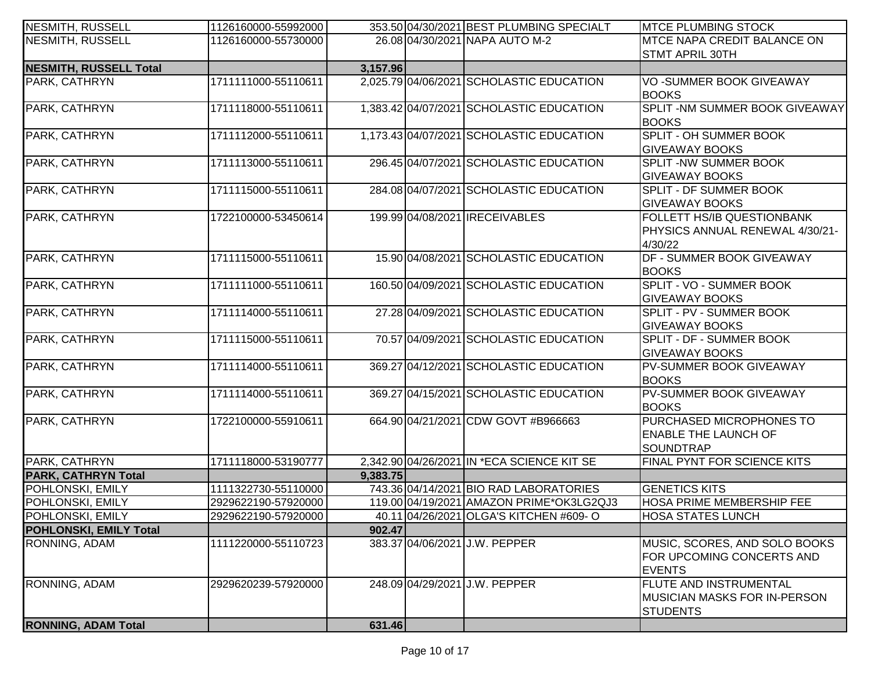| <b>NESMITH, RUSSELL</b>       | 1126160000-55992000 |          | 353.50 04/30/2021 BEST PLUMBING SPECIALT   | <b>IMTCE PLUMBING STOCK</b>                                                              |
|-------------------------------|---------------------|----------|--------------------------------------------|------------------------------------------------------------------------------------------|
| <b>NESMITH, RUSSELL</b>       | 1126160000-55730000 |          | 26.08 04/30/2021 NAPA AUTO M-2             | <b>MTCE NAPA CREDIT BALANCE ON</b>                                                       |
|                               |                     |          |                                            | <b>STMT APRIL 30TH</b>                                                                   |
| <b>NESMITH, RUSSELL Total</b> |                     | 3,157.96 |                                            |                                                                                          |
| PARK, CATHRYN                 | 1711111000-55110611 |          | 2,025.79 04/06/2021 SCHOLASTIC EDUCATION   | VO-SUMMER BOOK GIVEAWAY<br><b>BOOKS</b>                                                  |
| PARK, CATHRYN                 | 1711118000-55110611 |          | 1,383.42 04/07/2021 SCHOLASTIC EDUCATION   | SPLIT - NM SUMMER BOOK GIVEAWAY<br><b>BOOKS</b>                                          |
| PARK, CATHRYN                 | 1711112000-55110611 |          | 1,173.43 04/07/2021 SCHOLASTIC EDUCATION   | <b>SPLIT - OH SUMMER BOOK</b><br><b>GIVEAWAY BOOKS</b>                                   |
| PARK, CATHRYN                 | 1711113000-55110611 |          | 296.45 04/07/2021 SCHOLASTIC EDUCATION     | <b>SPLIT - NW SUMMER BOOK</b><br><b>GIVEAWAY BOOKS</b>                                   |
| PARK, CATHRYN                 | 1711115000-55110611 |          | 284.08 04/07/2021 SCHOLASTIC EDUCATION     | <b>SPLIT - DF SUMMER BOOK</b><br><b>GIVEAWAY BOOKS</b>                                   |
| PARK, CATHRYN                 | 1722100000-53450614 |          | 199.99 04/08/2021 IRECEIVABLES             | <b>FOLLETT HS/IB QUESTIONBANK</b><br>PHYSICS ANNUAL RENEWAL 4/30/21-<br>4/30/22          |
| PARK, CATHRYN                 | 1711115000-55110611 |          | 15.90 04/08/2021 SCHOLASTIC EDUCATION      | <b>DF - SUMMER BOOK GIVEAWAY</b><br><b>BOOKS</b>                                         |
| PARK, CATHRYN                 | 1711111000-55110611 |          | 160.50 04/09/2021 SCHOLASTIC EDUCATION     | SPLIT - VO - SUMMER BOOK<br><b>GIVEAWAY BOOKS</b>                                        |
| PARK, CATHRYN                 | 1711114000-55110611 |          | 27.28 04/09/2021 SCHOLASTIC EDUCATION      | SPLIT - PV - SUMMER BOOK<br><b>GIVEAWAY BOOKS</b>                                        |
| PARK, CATHRYN                 | 1711115000-55110611 |          | 70.57 04/09/2021 SCHOLASTIC EDUCATION      | SPLIT - DF - SUMMER BOOK<br><b>GIVEAWAY BOOKS</b>                                        |
| PARK, CATHRYN                 | 1711114000-55110611 |          | 369.27 04/12/2021 SCHOLASTIC EDUCATION     | <b>PV-SUMMER BOOK GIVEAWAY</b><br><b>BOOKS</b>                                           |
| PARK, CATHRYN                 | 1711114000-55110611 |          | 369.27 04/15/2021 SCHOLASTIC EDUCATION     | <b>PV-SUMMER BOOK GIVEAWAY</b><br><b>BOOKS</b>                                           |
| PARK, CATHRYN                 | 1722100000-55910611 |          | 664.90 04/21/2021 CDW GOVT #B966663        | <b>PURCHASED MICROPHONES TO</b><br><b>ENABLE THE LAUNCH OF</b><br><b>SOUNDTRAP</b>       |
| PARK, CATHRYN                 | 1711118000-53190777 |          | 2,342.90 04/26/2021 IN *ECA SCIENCE KIT SE | FINAL PYNT FOR SCIENCE KITS                                                              |
| <b>PARK, CATHRYN Total</b>    |                     | 9,383.75 |                                            |                                                                                          |
| POHLONSKI, EMILY              | 1111322730-55110000 |          | 743.36 04/14/2021 BIO RAD LABORATORIES     | <b>GENETICS KITS</b>                                                                     |
| POHLONSKI, EMILY              | 2929622190-57920000 |          | 119.00 04/19/2021 AMAZON PRIME*OK3LG2QJ3   | HOSA PRIME MEMBERSHIP FEE                                                                |
| POHLONSKI, EMILY              | 2929622190-57920000 |          | 40.11104/26/20211OLGA'S KITCHEN #609-O     | <b>HOSA STATES LUNCH</b>                                                                 |
| <b>POHLONSKI, EMILY Total</b> |                     | 902.47   |                                            |                                                                                          |
| RONNING, ADAM                 | 1111220000-55110723 |          | 383.37 04/06/2021 J.W. PEPPER              | MUSIC, SCORES, AND SOLO BOOKS<br>FOR UPCOMING CONCERTS AND<br><b>EVENTS</b>              |
| RONNING, ADAM                 | 2929620239-57920000 |          | 248.09 04/29/2021 J.W. PEPPER              | <b>FLUTE AND INSTRUMENTAL</b><br><b>IMUSICIAN MASKS FOR IN-PERSON</b><br><b>STUDENTS</b> |
| <b>RONNING, ADAM Total</b>    |                     | 631.46   |                                            |                                                                                          |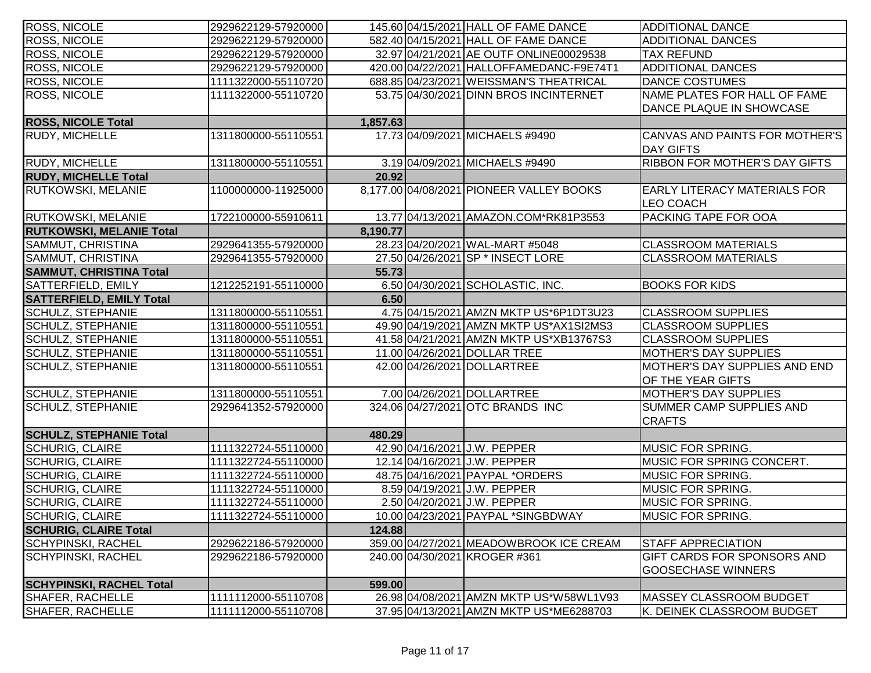| <b>ROSS, NICOLE</b>             | 2929622129-57920000 |          | 145.60 04/15/2021 HALL OF FAME DANCE     | <b>ADDITIONAL DANCE</b>                                  |
|---------------------------------|---------------------|----------|------------------------------------------|----------------------------------------------------------|
| ROSS, NICOLE                    | 2929622129-57920000 |          | 582.40 04/15/2021 HALL OF FAME DANCE     | <b>ADDITIONAL DANCES</b>                                 |
| ROSS, NICOLE                    | 2929622129-57920000 |          | 32.97 04/21/2021 AE OUTF ONLINE00029538  | <b>TAX REFUND</b>                                        |
| ROSS, NICOLE                    | 2929622129-57920000 |          | 420.00 04/22/2021 HALLOFFAMEDANC-F9E74T1 | <b>ADDITIONAL DANCES</b>                                 |
| ROSS, NICOLE                    | 1111322000-55110720 |          | 688.85 04/23/2021 WEISSMAN'S THEATRICAL  | <b>DANCE COSTUMES</b>                                    |
| <b>ROSS, NICOLE</b>             | 1111322000-55110720 |          | 53.75 04/30/2021 DINN BROS INCINTERNET   | NAME PLATES FOR HALL OF FAME<br>DANCE PLAQUE IN SHOWCASE |
| <b>ROSS, NICOLE Total</b>       |                     | 1,857.63 |                                          |                                                          |
| RUDY, MICHELLE                  | 1311800000-55110551 |          | 17.73 04/09/2021 MICHAELS #9490          | CANVAS AND PAINTS FOR MOTHER'S<br><b>DAY GIFTS</b>       |
| RUDY, MICHELLE                  | 1311800000-55110551 |          | 3.19 04/09/2021 MICHAELS #9490           | <b>RIBBON FOR MOTHER'S DAY GIFTS</b>                     |
| <b>RUDY, MICHELLE Total</b>     |                     | 20.92    |                                          |                                                          |
| RUTKOWSKI, MELANIE              | 1100000000-11925000 |          | 8,177.00 04/08/2021 PIONEER VALLEY BOOKS | <b>EARLY LITERACY MATERIALS FOR</b><br><b>LEO COACH</b>  |
| RUTKOWSKI, MELANIE              | 1722100000-55910611 |          | 13.77 04/13/2021 AMAZON.COM*RK81P3553    | PACKING TAPE FOR OOA                                     |
| <b>RUTKOWSKI, MELANIE Total</b> |                     | 8,190.77 |                                          |                                                          |
| SAMMUT, CHRISTINA               | 2929641355-57920000 |          | 28.23 04/20/2021 WAL-MART #5048          | <b>CLASSROOM MATERIALS</b>                               |
| SAMMUT, CHRISTINA               | 2929641355-57920000 |          | 27.50 04/26/2021 SP * INSECT LORE        | <b>CLASSROOM MATERIALS</b>                               |
| <b>SAMMUT, CHRISTINA Total</b>  |                     | 55.73    |                                          |                                                          |
| SATTERFIELD, EMILY              | 1212252191-55110000 |          | 6.50 04/30/2021 SCHOLASTIC, INC.         | <b>BOOKS FOR KIDS</b>                                    |
| <b>SATTERFIELD, EMILY Total</b> |                     | 6.50     |                                          |                                                          |
| SCHULZ, STEPHANIE               | 1311800000-55110551 |          | 4.75 04/15/2021 AMZN MKTP US*6P1DT3U23   | <b>CLASSROOM SUPPLIES</b>                                |
| SCHULZ, STEPHANIE               | 1311800000-55110551 |          | 49.90 04/19/2021 AMZN MKTP US*AX1SI2MS3  | <b>CLASSROOM SUPPLIES</b>                                |
| <b>SCHULZ, STEPHANIE</b>        | 1311800000-55110551 |          | 41.58 04/21/2021 AMZN MKTP US*XB13767S3  | <b>CLASSROOM SUPPLIES</b>                                |
| <b>SCHULZ, STEPHANIE</b>        | 1311800000-55110551 |          | 11.00 04/26/2021 DOLLAR TREE             | MOTHER'S DAY SUPPLIES                                    |
| <b>SCHULZ, STEPHANIE</b>        | 1311800000-55110551 |          | 42.00 04/26/2021 DOLLARTREE              | MOTHER'S DAY SUPPLIES AND END<br>OF THE YEAR GIFTS       |
| <b>SCHULZ, STEPHANIE</b>        | 1311800000-55110551 |          | 7.00 04/26/2021 DOLLARTREE               | MOTHER'S DAY SUPPLIES                                    |
| <b>SCHULZ, STEPHANIE</b>        | 2929641352-57920000 |          | 324.06 04/27/2021 OTC BRANDS INC         | SUMMER CAMP SUPPLIES AND<br><b>CRAFTS</b>                |
| <b>SCHULZ, STEPHANIE Total</b>  |                     | 480.29   |                                          |                                                          |
| <b>SCHURIG, CLAIRE</b>          | 1111322724-55110000 |          | 42.90 04/16/2021 J.W. PEPPER             | <b>MUSIC FOR SPRING.</b>                                 |
| <b>SCHURIG, CLAIRE</b>          | 1111322724-55110000 |          | 12.14 04/16/2021 J.W. PEPPER             | MUSIC FOR SPRING CONCERT.                                |
| SCHURIG, CLAIRE                 | 1111322724-55110000 |          | 48.75 04/16/2021 PAYPAL *ORDERS          | <b>MUSIC FOR SPRING.</b>                                 |
| <b>SCHURIG, CLAIRE</b>          | 1111322724-55110000 |          | 8.59 04/19/2021 J.W. PEPPER              | <b>MUSIC FOR SPRING.</b>                                 |
| <b>SCHURIG, CLAIRE</b>          | 1111322724-55110000 |          | 2.50 04/20/2021 J.W. PEPPER              | <b>MUSIC FOR SPRING.</b>                                 |
| <b>SCHURIG, CLAIRE</b>          | 1111322724-55110000 |          | 10.00 04/23/2021 PAYPAL *SINGBDWAY       | MUSIC FOR SPRING.                                        |
| <b>SCHURIG, CLAIRE Total</b>    |                     | 124.88   |                                          |                                                          |
| <b>SCHYPINSKI, RACHEL</b>       | 2929622186-57920000 |          | 359.00 04/27/2021 MEADOWBROOK ICE CREAM  | <b>STAFF APPRECIATION</b>                                |
| <b>SCHYPINSKI, RACHEL</b>       | 2929622186-57920000 |          | 240.00 04/30/2021 KROGER #361            | GIFT CARDS FOR SPONSORS AND<br><b>GOOSECHASE WINNERS</b> |
| <b>SCHYPINSKI, RACHEL Total</b> |                     | 599.00   |                                          |                                                          |
| <b>SHAFER, RACHELLE</b>         | 1111112000-55110708 |          | 26.98 04/08/2021 AMZN MKTP US*W58WL1V93  | <b>MASSEY CLASSROOM BUDGET</b>                           |
| SHAFER, RACHELLE                | 1111112000-55110708 |          | 37.95 04/13/2021 AMZN MKTP US*ME6288703  | K. DEINEK CLASSROOM BUDGET                               |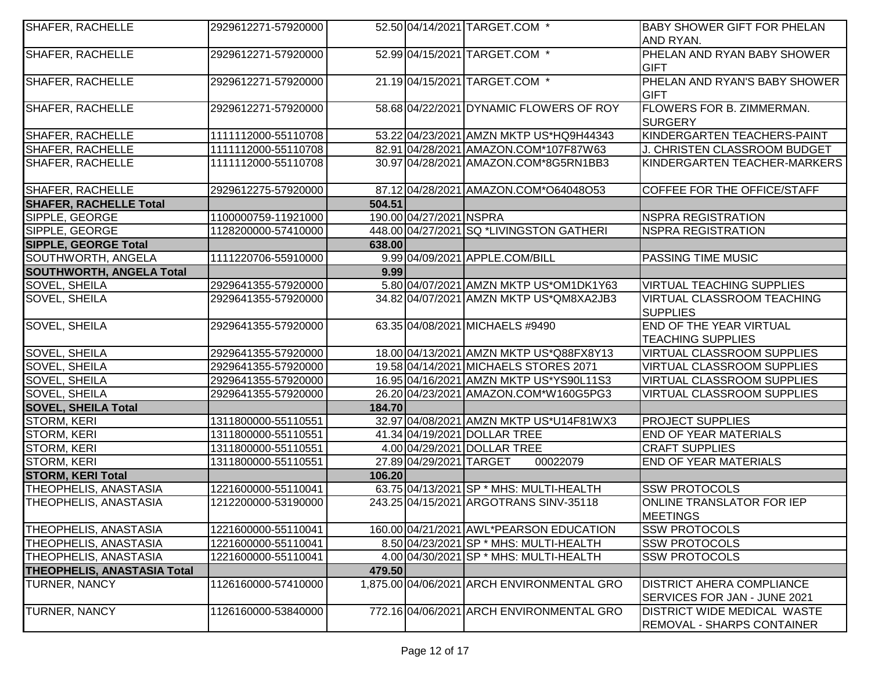| SHAFER, RACHELLE                   | 2929612271-57920000 |        |                         | 52.50 04/14/2021 TARGET.COM *              | <b>BABY SHOWER GIFT FOR PHELAN</b> |
|------------------------------------|---------------------|--------|-------------------------|--------------------------------------------|------------------------------------|
|                                    |                     |        |                         |                                            | AND RYAN.                          |
| SHAFER, RACHELLE                   | 2929612271-57920000 |        |                         | 52.99 04/15/2021 TARGET.COM *              | PHELAN AND RYAN BABY SHOWER        |
|                                    |                     |        |                         |                                            | <b>GIFT</b>                        |
| SHAFER, RACHELLE                   | 2929612271-57920000 |        |                         | 21.19 04/15/2021 TARGET.COM *              | PHELAN AND RYAN'S BABY SHOWER      |
|                                    |                     |        |                         |                                            | <b>GIFT</b>                        |
| SHAFER, RACHELLE                   | 2929612271-57920000 |        |                         | 58.68 04/22/2021 DYNAMIC FLOWERS OF ROY    | <b>FLOWERS FOR B. ZIMMERMAN.</b>   |
|                                    |                     |        |                         |                                            | SURGERY                            |
| SHAFER, RACHELLE                   | 1111112000-55110708 |        |                         | 53.22 04/23 2021 AMZN MKTP US*HQ9H44343    | KINDERGARTEN TEACHERS-PAINT        |
| SHAFER, RACHELLE                   | 1111112000-55110708 |        |                         | 82.91 04/28/2021 AMAZON.COM*107F87W63      | J. CHRISTEN CLASSROOM BUDGET       |
| SHAFER, RACHELLE                   | 1111112000-55110708 |        |                         | 30.97 04/28/2021 AMAZON.COM*8G5RN1BB3      | KINDERGARTEN TEACHER-MARKERS       |
|                                    |                     |        |                         |                                            |                                    |
| SHAFER, RACHELLE                   | 2929612275-57920000 |        |                         | 87.12 04/28/2021 AMAZON.COM*O64048O53      | COFFEE FOR THE OFFICE/STAFF        |
| <b>SHAFER, RACHELLE Total</b>      |                     | 504.51 |                         |                                            |                                    |
| SIPPLE, GEORGE                     | 1100000759-11921000 |        | 190.00 04/27/2021 NSPRA |                                            | <b>NSPRA REGISTRATION</b>          |
| SIPPLE, GEORGE                     | 1128200000-57410000 |        |                         | 448.00 04/27/2021 SQ *LIVINGSTON GATHERI   | <b>NSPRA REGISTRATION</b>          |
| <b>SIPPLE, GEORGE Total</b>        |                     | 638.00 |                         |                                            |                                    |
| SOUTHWORTH, ANGELA                 | 1111220706-55910000 |        |                         | 9.99 04/09/2021 APPLE.COM/BILL             | PASSING TIME MUSIC                 |
| <b>SOUTHWORTH, ANGELA Total</b>    |                     | 9.99   |                         |                                            |                                    |
| SOVEL, SHEILA                      | 2929641355-57920000 |        |                         | 5.80 04/07/2021 AMZN MKTP US*OM1DK1Y63     | <b>VIRTUAL TEACHING SUPPLIES</b>   |
| SOVEL, SHEILA                      | 2929641355-57920000 |        |                         | 34.82 04/07/2021 AMZN MKTP US*QM8XA2JB3    | <b>VIRTUAL CLASSROOM TEACHING</b>  |
|                                    |                     |        |                         |                                            | <b>SUPPLIES</b>                    |
| SOVEL, SHEILA                      | 2929641355-57920000 |        |                         | 63.35 04/08/2021 MICHAELS #9490            | <b>END OF THE YEAR VIRTUAL</b>     |
|                                    |                     |        |                         |                                            | <b>TEACHING SUPPLIES</b>           |
| SOVEL, SHEILA                      | 2929641355-57920000 |        |                         | 18.00 04/13/2021 AMZN MKTP US*Q88FX8Y13    | <b>VIRTUAL CLASSROOM SUPPLIES</b>  |
| SOVEL, SHEILA                      | 2929641355-57920000 |        |                         | 19.58 04/14/2021 MICHAELS STORES 2071      | <b>VIRTUAL CLASSROOM SUPPLIES</b>  |
| SOVEL, SHEILA                      | 2929641355-57920000 |        |                         | 16.95 04/16/2021 AMZN MKTP US*YS90L11S3    | <b>VIRTUAL CLASSROOM SUPPLIES</b>  |
| SOVEL, SHEILA                      | 2929641355-57920000 |        |                         | 26.20 04/23/2021 AMAZON.COM*W160G5PG3      | <b>VIRTUAL CLASSROOM SUPPLIES</b>  |
| <b>SOVEL, SHEILA Total</b>         |                     | 184.70 |                         |                                            |                                    |
| <b>STORM, KERI</b>                 | 1311800000-55110551 |        |                         | 32.97 04/08/2021 AMZN MKTP US*U14F81WX3    | <b>PROJECT SUPPLIES</b>            |
| STORM, KERI                        | 1311800000-55110551 |        |                         | 41.34 04/19/2021 DOLLAR TREE               | END OF YEAR MATERIALS              |
| STORM, KERI                        | 1311800000-55110551 |        |                         | 4.00 04/29/2021 DOLLAR TREE                | <b>CRAFT SUPPLIES</b>              |
| STORM, KERI                        | 1311800000-55110551 |        | 27.89 04/29/2021 TARGET | 00022079                                   | END OF YEAR MATERIALS              |
| <b>STORM, KERI Total</b>           |                     | 106.20 |                         |                                            |                                    |
| THEOPHELIS, ANASTASIA              | 1221600000-55110041 |        |                         | 63.75 04/13/2021 SP * MHS: MULTI-HEALTH    | <b>SSW PROTOCOLS</b>               |
| THEOPHELIS, ANASTASIA              | 1212200000-53190000 |        |                         | 243.25 04/15/2021 ARGOTRANS SINV-35118     | ONLINE TRANSLATOR FOR IEP          |
|                                    |                     |        |                         |                                            | <b>MEETINGS</b>                    |
| THEOPHELIS, ANASTASIA              | 1221600000-55110041 |        |                         | 160.00 04/21/2021 AWL*PEARSON EDUCATION    | <b>SSW PROTOCOLS</b>               |
| THEOPHELIS, ANASTASIA              | 1221600000-55110041 |        |                         | 8.50 04/23/2021 SP * MHS: MULTI-HEALTH     | <b>SSW PROTOCOLS</b>               |
| THEOPHELIS, ANASTASIA              | 1221600000-55110041 |        |                         | 4.00 04/30/2021 SP * MHS: MULTI-HEALTH     | <b>SSW PROTOCOLS</b>               |
| <b>THEOPHELIS, ANASTASIA Total</b> |                     | 479.50 |                         |                                            |                                    |
| TURNER, NANCY                      | 1126160000-57410000 |        |                         | 1,875.00 04/06/2021 ARCH ENVIRONMENTAL GRO | <b>DISTRICT AHERA COMPLIANCE</b>   |
|                                    |                     |        |                         |                                            | SERVICES FOR JAN - JUNE 2021       |
| TURNER, NANCY                      | 1126160000-53840000 |        |                         | 772.16 04/06/2021 ARCH ENVIRONMENTAL GRO   | <b>DISTRICT WIDE MEDICAL WASTE</b> |
|                                    |                     |        |                         |                                            | <b>REMOVAL - SHARPS CONTAINER</b>  |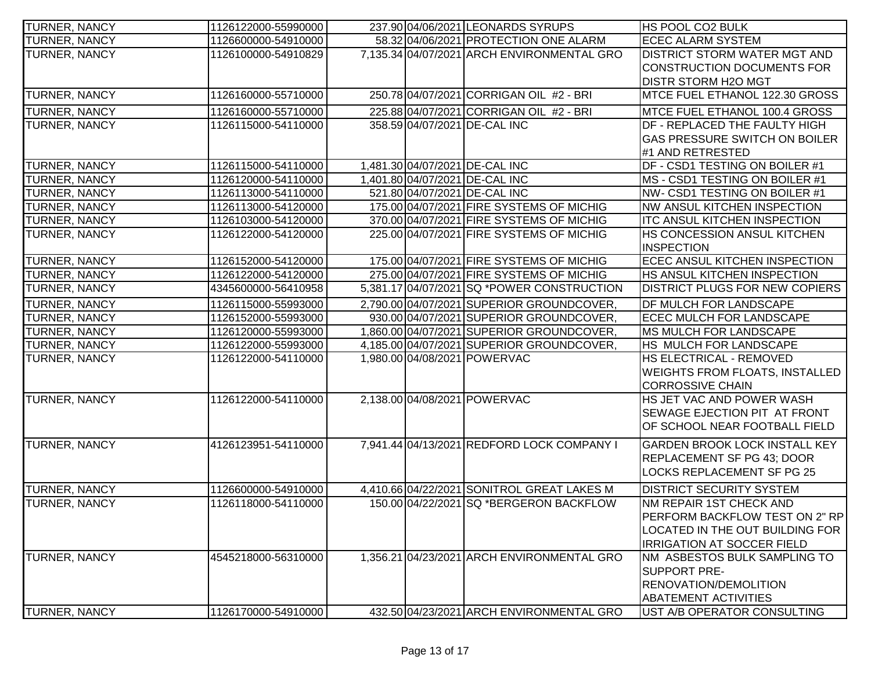| <b>TURNER, NANCY</b> | 1126122000-55990000 |  | 237.90 04/06/2021 LEONARDS SYRUPS          | <b>HS POOL CO2 BULK</b>               |
|----------------------|---------------------|--|--------------------------------------------|---------------------------------------|
| TURNER, NANCY        | 1126600000-54910000 |  | 58.32 04/06/2021 PROTECTION ONE ALARM      | <b>ECEC ALARM SYSTEM</b>              |
| TURNER, NANCY        | 1126100000-54910829 |  | 7,135.34 04/07/2021 ARCH ENVIRONMENTAL GRO | <b>DISTRICT STORM WATER MGT AND</b>   |
|                      |                     |  |                                            | CONSTRUCTION DOCUMENTS FOR            |
|                      |                     |  |                                            | <b>DISTR STORM H2O MGT</b>            |
| <b>TURNER, NANCY</b> | 1126160000-55710000 |  | 250.78 04/07/2021 CORRIGAN OIL #2 - BRI    | MTCE FUEL ETHANOL 122.30 GROSS        |
| TURNER, NANCY        | 1126160000-55710000 |  | 225.88 04/07/2021 CORRIGAN OIL #2 - BRI    | MTCE FUEL ETHANOL 100.4 GROSS         |
| TURNER, NANCY        | 1126115000-54110000 |  | 358.59 04/07/2021 DE-CAL INC               | <b>DF - REPLACED THE FAULTY HIGH</b>  |
|                      |                     |  |                                            | <b>GAS PRESSURE SWITCH ON BOILER</b>  |
|                      |                     |  |                                            | #1 AND RETRESTED                      |
| <b>TURNER, NANCY</b> | 1126115000-54110000 |  | 1,481.30 04/07/2021 DE-CAL INC             | DF - CSD1 TESTING ON BOILER #1        |
| TURNER, NANCY        | 1126120000-54110000 |  | 1,401.80 04/07/2021 DE-CAL INC             | MS - CSD1 TESTING ON BOILER #1        |
| TURNER, NANCY        | 1126113000-54110000 |  | 521.80 04/07/2021 DE-CAL INC               | NW- CSD1 TESTING ON BOILER #1         |
| TURNER, NANCY        | 1126113000-54120000 |  | 175.00 04/07/2021 FIRE SYSTEMS OF MICHIG   | NW ANSUL KITCHEN INSPECTION           |
| TURNER, NANCY        | 1126103000-54120000 |  | 370.00 04/07/2021 FIRE SYSTEMS OF MICHIG   | <b>ITC ANSUL KITCHEN INSPECTION</b>   |
| TURNER, NANCY        | 1126122000-54120000 |  | 225.00 04/07/2021 FIRE SYSTEMS OF MICHIG   | HS CONCESSION ANSUL KITCHEN           |
|                      |                     |  |                                            | <b>INSPECTION</b>                     |
| <b>TURNER, NANCY</b> | 1126152000-54120000 |  | 175.00 04/07/2021 FIRE SYSTEMS OF MICHIG   | <b>ECEC ANSUL KITCHEN INSPECTION</b>  |
| <b>TURNER, NANCY</b> | 1126122000-54120000 |  | 275.00 04/07/2021 FIRE SYSTEMS OF MICHIG   | <b>HS ANSUL KITCHEN INSPECTION</b>    |
| TURNER, NANCY        | 4345600000-56410958 |  | 5,381.17 04/07/2021 SQ *POWER CONSTRUCTION | <b>DISTRICT PLUGS FOR NEW COPIERS</b> |
| TURNER, NANCY        | 1126115000-55993000 |  | 2,790.00 04/07/2021 SUPERIOR GROUNDCOVER,  | DF MULCH FOR LANDSCAPE                |
| <b>TURNER, NANCY</b> | 1126152000-55993000 |  | 930.00 04/07/2021 SUPERIOR GROUNDCOVER,    | ECEC MULCH FOR LANDSCAPE              |
| TURNER, NANCY        | 1126120000-55993000 |  | 1,860.00 04/07/2021 SUPERIOR GROUNDCOVER,  | <b>MS MULCH FOR LANDSCAPE</b>         |
| TURNER, NANCY        | 1126122000-55993000 |  | 4,185.00 04/07/2021 SUPERIOR GROUNDCOVER,  | HS MULCH FOR LANDSCAPE                |
| TURNER, NANCY        | 1126122000-54110000 |  | 1,980.00 04/08/2021 POWERVAC               | <b>HS ELECTRICAL - REMOVED</b>        |
|                      |                     |  |                                            | <b>WEIGHTS FROM FLOATS, INSTALLED</b> |
|                      |                     |  |                                            | <b>CORROSSIVE CHAIN</b>               |
| <b>TURNER, NANCY</b> | 1126122000-54110000 |  | 2,138.00 04/08/2021 POWERVAC               | HS JET VAC AND POWER WASH             |
|                      |                     |  |                                            | SEWAGE EJECTION PIT AT FRONT          |
|                      |                     |  |                                            | OF SCHOOL NEAR FOOTBALL FIELD         |
| <b>TURNER, NANCY</b> | 4126123951-54110000 |  | 7,941.44 04/13/2021 REDFORD LOCK COMPANY I | <b>GARDEN BROOK LOCK INSTALL KEY</b>  |
|                      |                     |  |                                            | <b>REPLACEMENT SF PG 43: DOOR</b>     |
|                      |                     |  |                                            | <b>LOCKS REPLACEMENT SF PG 25</b>     |
| <b>TURNER, NANCY</b> | 1126600000-54910000 |  | 4,410.66 04/22/2021 SONITROL GREAT LAKES M | <b>DISTRICT SECURITY SYSTEM</b>       |
| TURNER, NANCY        | 1126118000-54110000 |  | 150.00 04/22/2021 SQ *BERGERON BACKFLOW    | <b>NM REPAIR 1ST CHECK AND</b>        |
|                      |                     |  |                                            | PERFORM BACKFLOW TEST ON 2" RP        |
|                      |                     |  |                                            | LOCATED IN THE OUT BUILDING FOR       |
|                      |                     |  |                                            | <b>IRRIGATION AT SOCCER FIELD</b>     |
| <b>TURNER, NANCY</b> | 4545218000-56310000 |  | 1,356.21 04/23/2021 ARCH ENVIRONMENTAL GRO | NM ASBESTOS BULK SAMPLING TO          |
|                      |                     |  |                                            | <b>SUPPORT PRE-</b>                   |
|                      |                     |  |                                            | <b>RENOVATION/DEMOLITION</b>          |
|                      |                     |  |                                            | <b>ABATEMENT ACTIVITIES</b>           |
| TURNER, NANCY        | 1126170000-54910000 |  | 432.50 04/23/2021 ARCH ENVIRONMENTAL GRO   | UST A/B OPERATOR CONSULTING           |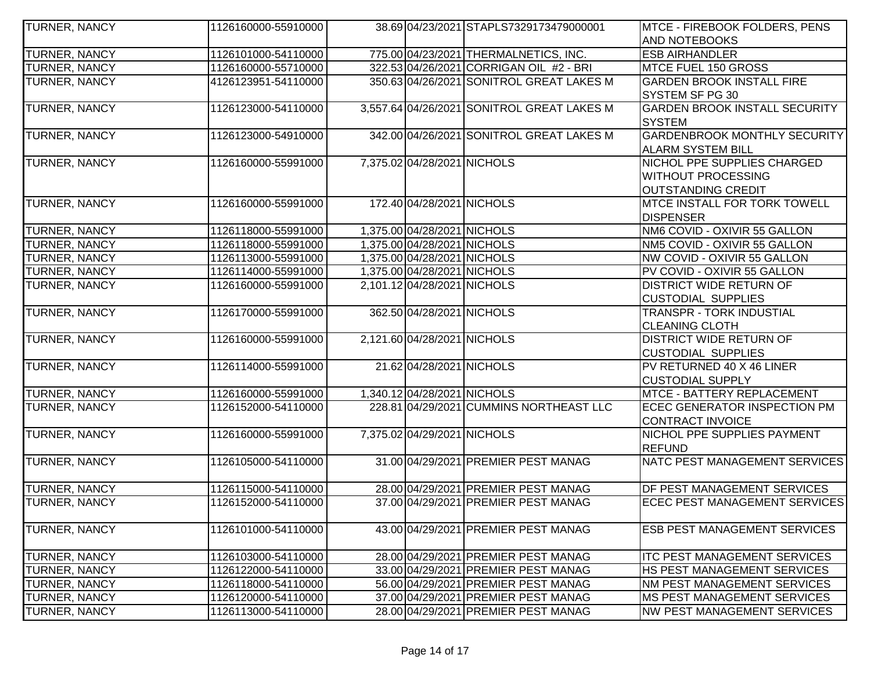| TURNER, NANCY        | 1126160000-55910000 |                             | 38.69 04/23/2021 STAPLS7329173479000001    | MTCE - FIREBOOK FOLDERS, PENS        |
|----------------------|---------------------|-----------------------------|--------------------------------------------|--------------------------------------|
|                      |                     |                             |                                            | <b>AND NOTEBOOKS</b>                 |
| TURNER, NANCY        | 1126101000-54110000 |                             | 775.00 04/23/2021 THERMALNETICS, INC.      | <b>ESB AIRHANDLER</b>                |
| TURNER, NANCY        | 1126160000-55710000 |                             | 322.53 04/26/2021 CORRIGAN OIL #2 - BRI    | MTCE FUEL 150 GROSS                  |
| TURNER, NANCY        | 4126123951-54110000 |                             | 350.63 04/26/2021 SONITROL GREAT LAKES M   | <b>GARDEN BROOK INSTALL FIRE</b>     |
|                      |                     |                             |                                            | SYSTEM SF PG 30                      |
| TURNER, NANCY        | 1126123000-54110000 |                             | 3,557.64 04/26/2021 SONITROL GREAT LAKES M | <b>GARDEN BROOK INSTALL SECURITY</b> |
|                      |                     |                             |                                            | <b>SYSTEM</b>                        |
| <b>TURNER, NANCY</b> | 1126123000-54910000 |                             | 342.00 04/26/2021 SONITROL GREAT LAKES M   | <b>GARDENBROOK MONTHLY SECURITY</b>  |
|                      |                     |                             |                                            | <b>ALARM SYSTEM BILL</b>             |
| TURNER, NANCY        | 1126160000-55991000 | 7,375.02 04/28/2021 NICHOLS |                                            | NICHOL PPE SUPPLIES CHARGED          |
|                      |                     |                             |                                            | <b>WITHOUT PROCESSING</b>            |
|                      |                     |                             |                                            | OUTSTANDING CREDIT                   |
| <b>TURNER, NANCY</b> | 1126160000-55991000 | 172.40 04/28/2021 NICHOLS   |                                            | <b>MTCE INSTALL FOR TORK TOWELL</b>  |
|                      |                     |                             |                                            | <b>DISPENSER</b>                     |
| TURNER, NANCY        | 1126118000-55991000 | 1,375.00 04/28/2021 NICHOLS |                                            | NM6 COVID - OXIVIR 55 GALLON         |
| <b>TURNER, NANCY</b> | 1126118000-55991000 | 1,375.00 04/28/2021 NICHOLS |                                            | NM5 COVID - OXIVIR 55 GALLON         |
| TURNER, NANCY        | 1126113000-55991000 | 1,375.00 04/28/2021 NICHOLS |                                            | NW COVID - OXIVIR 55 GALLON          |
| TURNER, NANCY        | 1126114000-55991000 | 1,375.00 04/28/2021 NICHOLS |                                            | PV COVID - OXIVIR 55 GALLON          |
| <b>TURNER, NANCY</b> | 1126160000-55991000 | 2,101.12 04/28/2021 NICHOLS |                                            | <b>DISTRICT WIDE RETURN OF</b>       |
|                      |                     |                             |                                            | <b>CUSTODIAL SUPPLIES</b>            |
| TURNER, NANCY        | 1126170000-55991000 | 362.50 04/28/2021 NICHOLS   |                                            | <b>TRANSPR - TORK INDUSTIAL</b>      |
|                      |                     |                             |                                            | <b>CLEANING CLOTH</b>                |
| TURNER, NANCY        | 1126160000-55991000 | 2,121.60 04/28/2021 NICHOLS |                                            | <b>DISTRICT WIDE RETURN OF</b>       |
|                      |                     |                             |                                            | <b>CUSTODIAL SUPPLIES</b>            |
| TURNER, NANCY        | 1126114000-55991000 | 21.62 04/28/2021 NICHOLS    |                                            | PV RETURNED 40 X 46 LINER            |
|                      |                     |                             |                                            | <b>CUSTODIAL SUPPLY</b>              |
| TURNER, NANCY        | 1126160000-55991000 | 1,340.12 04/28/2021 NICHOLS |                                            | MTCE - BATTERY REPLACEMENT           |
| TURNER, NANCY        | 1126152000-54110000 |                             | 228.81 04/29/2021 CUMMINS NORTHEAST LLC    | <b>ECEC GENERATOR INSPECTION PM</b>  |
|                      |                     |                             |                                            | CONTRACT INVOICE                     |
| <b>TURNER, NANCY</b> | 1126160000-55991000 | 7,375.02 04/29/2021 NICHOLS |                                            | <b>NICHOL PPE SUPPLIES PAYMENT</b>   |
|                      |                     |                             |                                            | <b>REFUND</b>                        |
| <b>TURNER, NANCY</b> | 1126105000-54110000 |                             | 31.00 04/29/2021 PREMIER PEST MANAG        | NATC PEST MANAGEMENT SERVICES        |
|                      |                     |                             |                                            |                                      |
| <b>TURNER, NANCY</b> | 1126115000-54110000 |                             | 28.00 04/29/2021 PREMIER PEST MANAG        | <b>DF PEST MANAGEMENT SERVICES</b>   |
| <b>TURNER, NANCY</b> | 1126152000-54110000 |                             | 37.00 04/29/2021 PREMIER PEST MANAG        | <b>ECEC PEST MANAGEMENT SERVICES</b> |
|                      |                     |                             |                                            |                                      |
| <b>TURNER, NANCY</b> | 1126101000-54110000 |                             | 43.00 04/29/2021 PREMIER PEST MANAG        | <b>ESB PEST MANAGEMENT SERVICES</b>  |
|                      |                     |                             |                                            |                                      |
| <b>TURNER, NANCY</b> | 1126103000-54110000 |                             | 28.00 04/29/2021 PREMIER PEST MANAG        | <b>ITC PEST MANAGEMENT SERVICES</b>  |
| <b>TURNER, NANCY</b> | 1126122000-54110000 |                             | 33.00 04/29/2021 PREMIER PEST MANAG        | <b>HS PEST MANAGEMENT SERVICES</b>   |
| <b>TURNER, NANCY</b> | 1126118000-54110000 |                             | 56.00 04/29/2021 PREMIER PEST MANAG        | <b>NM PEST MANAGEMENT SERVICES</b>   |
| TURNER, NANCY        | 1126120000-54110000 |                             | 37.00 04/29/2021 PREMIER PEST MANAG        | <b>IMS PEST MANAGEMENT SERVICES</b>  |
| TURNER, NANCY        | 1126113000-54110000 |                             | 28.00 04/29/2021 PREMIER PEST MANAG        | <b>NW PEST MANAGEMENT SERVICES</b>   |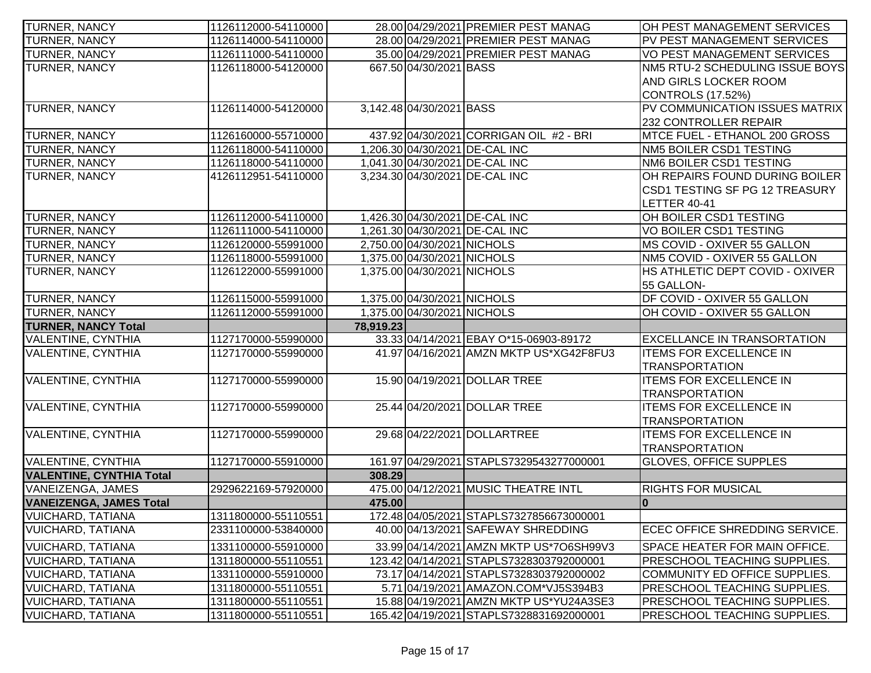| <b>TURNER, NANCY</b>                                 | 1126112000-54110000                        |           |                             | 28.00 04/29/2021 PREMIER PEST MANAG                                             | OH PEST MANAGEMENT SERVICES                                                |
|------------------------------------------------------|--------------------------------------------|-----------|-----------------------------|---------------------------------------------------------------------------------|----------------------------------------------------------------------------|
| TURNER, NANCY                                        | 1126114000-54110000                        |           |                             | 28.00 04/29/2021 PREMIER PEST MANAG                                             | PV PEST MANAGEMENT SERVICES                                                |
| TURNER, NANCY                                        | 1126111000-54110000                        |           |                             | 35.00 04/29/2021 PREMIER PEST MANAG                                             | VO PEST MANAGEMENT SERVICES                                                |
| TURNER, NANCY                                        | 1126118000-54120000                        |           | 667.50 04/30/2021 BASS      |                                                                                 | NM5 RTU-2 SCHEDULING ISSUE BOYS                                            |
|                                                      |                                            |           |                             |                                                                                 | AND GIRLS LOCKER ROOM                                                      |
|                                                      |                                            |           |                             |                                                                                 | <b>CONTROLS (17.52%)</b>                                                   |
| TURNER, NANCY                                        | 1126114000-54120000                        |           | 3,142.48 04/30/2021 BASS    |                                                                                 | PV COMMUNICATION ISSUES MATRIX                                             |
|                                                      |                                            |           |                             |                                                                                 | 232 CONTROLLER REPAIR                                                      |
| <b>TURNER, NANCY</b>                                 | 1126160000-55710000                        |           |                             | 437.92 04/30/2021 CORRIGAN OIL #2 - BRI                                         | MTCE FUEL - ETHANOL 200 GROSS                                              |
| TURNER, NANCY                                        | 1126118000-54110000                        |           |                             | 1,206.30 04/30/2021 DE-CAL INC                                                  | NM5 BOILER CSD1 TESTING                                                    |
| TURNER, NANCY                                        | 1126118000-54110000                        |           |                             | 1,041.30 04/30/2021 DE-CAL INC                                                  | NM6 BOILER CSD1 TESTING                                                    |
| TURNER, NANCY                                        | 4126112951-54110000                        |           |                             | 3,234.30 04/30/2021 DE-CAL INC                                                  | OH REPAIRS FOUND DURING BOILER                                             |
|                                                      |                                            |           |                             |                                                                                 | CSD1 TESTING SF PG 12 TREASURY                                             |
|                                                      |                                            |           |                             |                                                                                 | <b>LETTER 40-41</b>                                                        |
| TURNER, NANCY                                        | 1126112000-54110000                        |           |                             | 1,426.30 04/30/2021 DE-CAL INC                                                  | OH BOILER CSD1 TESTING                                                     |
| TURNER, NANCY                                        | 1126111000-54110000                        |           |                             | 1,261.30 04/30/2021 DE-CAL INC                                                  | VO BOILER CSD1 TESTING                                                     |
| TURNER, NANCY                                        | 1126120000-55991000                        |           | 2,750.00 04/30/2021 NICHOLS |                                                                                 | MS COVID - OXIVER 55 GALLON                                                |
| TURNER, NANCY                                        | 1126118000-55991000                        |           | 1,375.00 04/30/2021 NICHOLS |                                                                                 | NM5 COVID - OXIVER 55 GALLON                                               |
| TURNER, NANCY                                        | 1126122000-55991000                        |           | 1,375.00 04/30/2021 NICHOLS |                                                                                 | HS ATHLETIC DEPT COVID - OXIVER                                            |
|                                                      |                                            |           |                             |                                                                                 | 55 GALLON-                                                                 |
| TURNER, NANCY                                        | 1126115000-55991000                        |           | 1,375.00 04/30/2021 NICHOLS |                                                                                 | DF COVID - OXIVER 55 GALLON                                                |
| TURNER, NANCY                                        | 1126112000-55991000                        |           | 1,375.00 04/30/2021 NICHOLS |                                                                                 | OH COVID - OXIVER 55 GALLON                                                |
| <b>TURNER, NANCY Total</b>                           |                                            | 78,919.23 |                             |                                                                                 |                                                                            |
| <b>VALENTINE, CYNTHIA</b>                            | 1127170000-55990000                        |           |                             | 33.33 04/14/2021 EBAY O*15-06903-89172                                          | <b>EXCELLANCE IN TRANSORTATION</b>                                         |
| <b>VALENTINE, CYNTHIA</b>                            | 1127170000-55990000                        |           |                             | 41.97 04/16/2021 AMZN MKTP US*XG42F8FU3                                         | <b>ITEMS FOR EXCELLENCE IN</b>                                             |
|                                                      |                                            |           |                             |                                                                                 | <b>TRANSPORTATION</b>                                                      |
| <b>VALENTINE, CYNTHIA</b>                            | 1127170000-55990000                        |           |                             | 15.90 04/19/2021 DOLLAR TREE                                                    | <b>ITEMS FOR EXCELLENCE IN</b>                                             |
|                                                      |                                            |           |                             |                                                                                 | <b>TRANSPORTATION</b>                                                      |
| <b>VALENTINE, CYNTHIA</b>                            | 1127170000-55990000                        |           |                             | 25.44 04/20/2021 DOLLAR TREE                                                    | <b>ITEMS FOR EXCELLENCE IN</b>                                             |
|                                                      |                                            |           |                             |                                                                                 | <b>TRANSPORTATION</b>                                                      |
|                                                      |                                            |           |                             |                                                                                 |                                                                            |
| <b>VALENTINE, CYNTHIA</b>                            | 1127170000-55990000                        |           |                             | 29.68 04/22/2021 DOLLARTREE                                                     | <b>ITEMS FOR EXCELLENCE IN</b>                                             |
|                                                      |                                            |           |                             |                                                                                 | <b>TRANSPORTATION</b>                                                      |
| VALENTINE, CYNTHIA                                   | 1127170000-55910000                        |           |                             | 161.97 04/29/2021 STAPLS7329543277000001                                        | <b>GLOVES, OFFICE SUPPLES</b>                                              |
| <b>VALENTINE, CYNTHIA Total</b>                      |                                            | 308.29    |                             |                                                                                 |                                                                            |
| VANEIZENGA, JAMES                                    | 2929622169-57920000                        |           |                             | 475.00 04/12/2021 MUSIC THEATRE INTL                                            | <b>RIGHTS FOR MUSICAL</b>                                                  |
| <b>VANEIZENGA, JAMES Total</b>                       |                                            | 475.00    |                             |                                                                                 | 10                                                                         |
| <b>VUICHARD, TATIANA</b>                             | 1311800000-55110551                        |           |                             | 172.48 04/05/2021 STAPLS7327856673000001                                        |                                                                            |
| <b>VUICHARD, TATIANA</b>                             | 2331100000-53840000                        |           |                             | 40.00 04/13/2021 SAFEWAY SHREDDING                                              | ECEC OFFICE SHREDDING SERVICE.                                             |
|                                                      |                                            |           |                             |                                                                                 |                                                                            |
| <b>VUICHARD, TATIANA</b>                             | 1331100000-55910000                        |           |                             | 33.99 04/14/2021 AMZN MKTP US*706SH99V3                                         | SPACE HEATER FOR MAIN OFFICE.                                              |
| <b>VUICHARD, TATIANA</b>                             | 1311800000-55110551                        |           |                             | 123.42 04/14/2021 STAPLS7328303792000001                                        | <b>PRESCHOOL TEACHING SUPPLIES.</b><br>COMMUNITY ED OFFICE SUPPLIES.       |
| <b>VUICHARD, TATIANA</b>                             | 1331100000-55910000                        |           |                             | 73.17 04/14/2021 STAPLS7328303792000002                                         |                                                                            |
| <b>VUICHARD, TATIANA</b><br><b>VUICHARD, TATIANA</b> | 1311800000-55110551<br>1311800000-55110551 |           |                             | 5.71 04/19/2021 AMAZON.COM*VJ5S394B3<br>15.88 04/19/2021 AMZN MKTP US*YU24A3SE3 | <b>PRESCHOOL TEACHING SUPPLIES.</b><br><b>PRESCHOOL TEACHING SUPPLIES.</b> |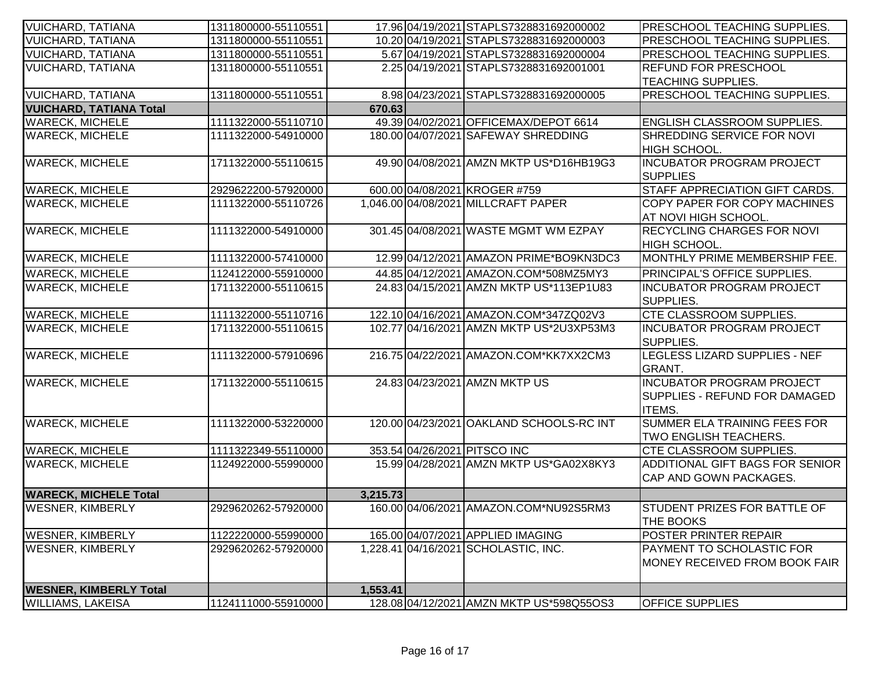| <b>VUICHARD, TATIANA</b>                                  | 1311800000-55110551 |          | 17.96 04/19/2021 STAPLS7328831692000002  | PRESCHOOL TEACHING SUPPLIES.                  |
|-----------------------------------------------------------|---------------------|----------|------------------------------------------|-----------------------------------------------|
| <b>VUICHARD, TATIANA</b>                                  | 1311800000-55110551 |          | 10.20 04/19/2021 STAPLS7328831692000003  | PRESCHOOL TEACHING SUPPLIES.                  |
| <b>VUICHARD, TATIANA</b>                                  | 1311800000-55110551 |          | 5.67 04/19/2021 STAPLS7328831692000004   | <b>PRESCHOOL TEACHING SUPPLIES.</b>           |
| <b>VUICHARD, TATIANA</b>                                  | 1311800000-55110551 |          | 2.25 04/19/2021 STAPLS7328831692001001   | <b>REFUND FOR PRESCHOOL</b>                   |
|                                                           |                     |          |                                          | <b>TEACHING SUPPLIES.</b>                     |
| <b>VUICHARD, TATIANA</b>                                  | 1311800000-55110551 |          | 8.98 04/23/2021 STAPLS7328831692000005   | PRESCHOOL TEACHING SUPPLIES.                  |
| <b>VUICHARD, TATIANA Total</b>                            |                     | 670.63   |                                          |                                               |
| <b>WARECK, MICHELE</b>                                    | 1111322000-55110710 |          | 49.39 04/02/2021 OFFICEMAX/DEPOT 6614    | <b>ENGLISH CLASSROOM SUPPLIES.</b>            |
| <b>WARECK, MICHELE</b>                                    | 1111322000-54910000 |          | 180.00 04/07/2021 SAFEWAY SHREDDING      | SHREDDING SERVICE FOR NOVI                    |
|                                                           |                     |          |                                          | HIGH SCHOOL.                                  |
| <b>WARECK, MICHELE</b>                                    | 1711322000-55110615 |          | 49.90 04/08 2021 AMZN MKTP US*D16HB19G3  | <b>INCUBATOR PROGRAM PROJECT</b>              |
|                                                           |                     |          |                                          | <b>SUPPLIES</b>                               |
| <b>WARECK, MICHELE</b>                                    | 2929622200-57920000 |          | 600.00 04/08/2021 KROGER #759            | STAFF APPRECIATION GIFT CARDS.                |
| <b>WARECK, MICHELE</b>                                    | 1111322000-55110726 |          | 1,046.00 04/08/2021 MILLCRAFT PAPER      | <b>COPY PAPER FOR COPY MACHINES</b>           |
|                                                           |                     |          |                                          | AT NOVI HIGH SCHOOL.                          |
| <b>WARECK, MICHELE</b>                                    | 1111322000-54910000 |          | 301.45 04/08/2021 WASTE MGMT WM EZPAY    | <b>RECYCLING CHARGES FOR NOVI</b>             |
|                                                           |                     |          |                                          | HIGH SCHOOL.                                  |
| <b>WARECK, MICHELE</b>                                    | 1111322000-57410000 |          | 12.99 04/12/2021 AMAZON PRIME*BO9KN3DC3  | MONTHLY PRIME MEMBERSHIP FEE.                 |
| <b>WARECK, MICHELE</b>                                    | 1124122000-55910000 |          | 44.85 04/12/2021 AMAZON.COM*508MZ5MY3    | <b>PRINCIPAL'S OFFICE SUPPLIES.</b>           |
| <b>WARECK, MICHELE</b>                                    | 1711322000-55110615 |          | 24.83 04/15/2021 AMZN MKTP US*113EP1U83  | INCUBATOR PROGRAM PROJECT                     |
|                                                           |                     |          |                                          | <b>I</b> SUPPLIES.                            |
| <b>WARECK, MICHELE</b>                                    | 1111322000-55110716 |          | 122.10 04/16/2021 AMAZON.COM*347ZQ02V3   | <b>CTE CLASSROOM SUPPLIES.</b>                |
| <b>WARECK, MICHELE</b>                                    | 1711322000-55110615 |          | 102.77 04/16/2021 AMZN MKTP US*2U3XP53M3 | <b>INCUBATOR PROGRAM PROJECT</b>              |
|                                                           |                     |          |                                          | SUPPLIES.                                     |
| <b>WARECK, MICHELE</b>                                    | 1111322000-57910696 |          | 216.75 04/22/2021 AMAZON.COM*KK7XX2CM3   | LEGLESS LIZARD SUPPLIES - NEF                 |
|                                                           |                     |          |                                          | <b>GRANT.</b>                                 |
| <b>WARECK, MICHELE</b>                                    | 1711322000-55110615 |          | 24.83 04/23/2021 AMZN MKTP US            | <b>INCUBATOR PROGRAM PROJECT</b>              |
|                                                           |                     |          |                                          | SUPPLIES - REFUND FOR DAMAGED                 |
| <b>WARECK, MICHELE</b>                                    | 1111322000-53220000 |          | 120.00 04/23/2021 OAKLAND SCHOOLS-RC INT | <b>ITEMS.</b><br>SUMMER ELA TRAINING FEES FOR |
|                                                           |                     |          |                                          | TWO ENGLISH TEACHERS.                         |
| <b>WARECK, MICHELE</b>                                    | 1111322349-55110000 |          | 353.54 04/26/2021 PITSCO INC             | <b>CTE CLASSROOM SUPPLIES.</b>                |
| <b>WARECK, MICHELE</b>                                    | 1124922000-55990000 |          | 15.99 04/28/2021 AMZN MKTP US*GA02X8KY3  | ADDITIONAL GIFT BAGS FOR SENIOR               |
|                                                           |                     |          |                                          | CAP AND GOWN PACKAGES.                        |
|                                                           |                     |          |                                          |                                               |
| <b>WARECK, MICHELE Total</b>                              |                     | 3,215.73 |                                          |                                               |
| <b>WESNER, KIMBERLY</b>                                   | 2929620262-57920000 |          | 160.00 04/06/2021 AMAZON.COM*NU92S5RM3   | <b>STUDENT PRIZES FOR BATTLE OF</b>           |
|                                                           |                     |          |                                          | <b>THE BOOKS</b>                              |
| <b>WESNER, KIMBERLY</b>                                   | 1122220000-55990000 |          | 165.00 04/07/2021 APPLIED IMAGING        | POSTER PRINTER REPAIR                         |
| <b>WESNER, KIMBERLY</b>                                   | 2929620262-57920000 |          | 1,228.41 04/16/2021 SCHOLASTIC, INC.     | PAYMENT TO SCHOLASTIC FOR                     |
|                                                           |                     |          |                                          | <b>IMONEY RECEIVED FROM BOOK FAIR</b>         |
|                                                           |                     |          |                                          |                                               |
| <b>WESNER, KIMBERLY Total</b><br><b>WILLIAMS, LAKEISA</b> |                     | 1,553.41 | 128.08 04/12/2021 AMZN MKTP US*598Q55OS3 | <b>OFFICE SUPPLIES</b>                        |
|                                                           | 1124111000-55910000 |          |                                          |                                               |